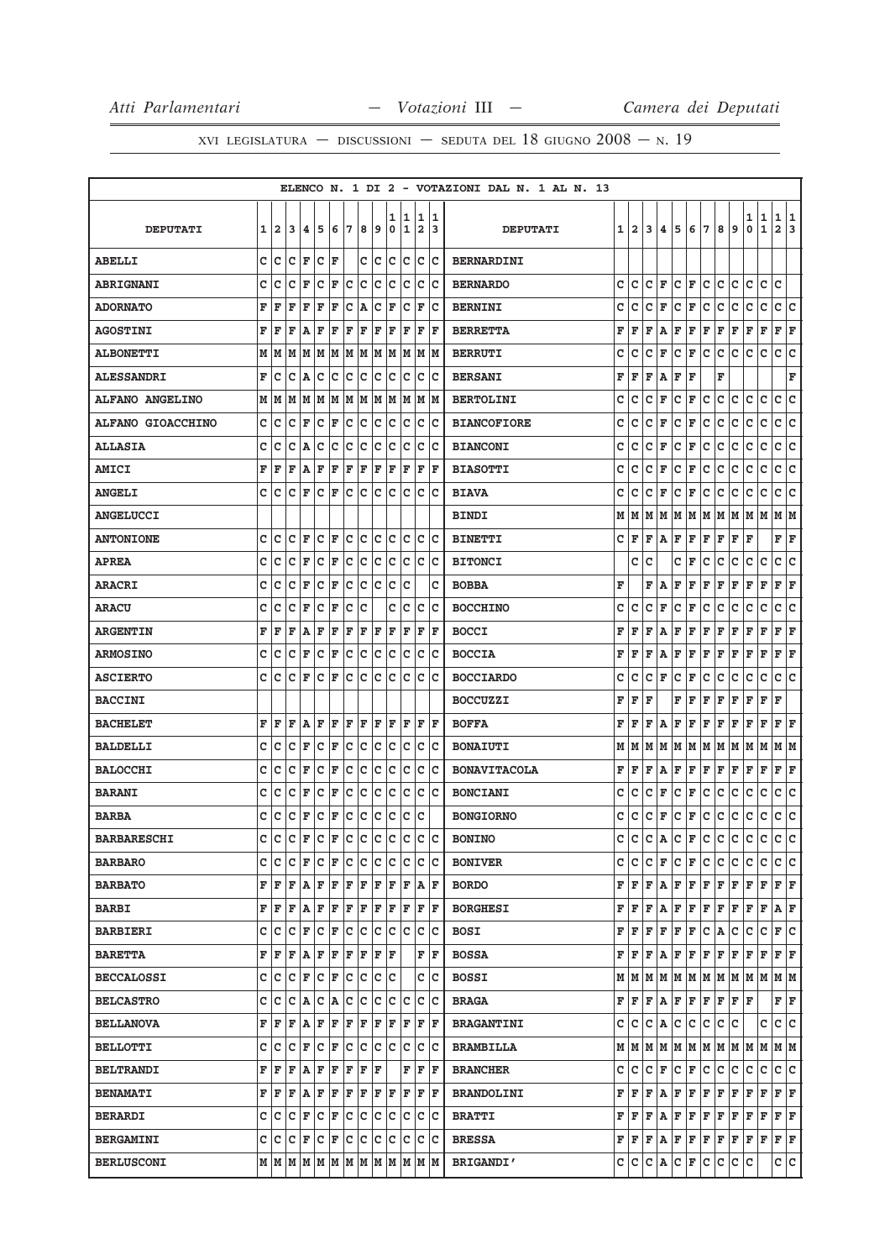|                          |   |                         |    |                 |         |    |     |     |     |        |        |                              |         | ELENCO N. 1 DI 2 - VOTAZIONI DAL N. 1 AL N. 13 |   |                |              |   |     |              |              |     |              |              |                   |                              |     |
|--------------------------|---|-------------------------|----|-----------------|---------|----|-----|-----|-----|--------|--------|------------------------------|---------|------------------------------------------------|---|----------------|--------------|---|-----|--------------|--------------|-----|--------------|--------------|-------------------|------------------------------|-----|
| <b>DEPUTATI</b>          | 1 | $\overline{\mathbf{2}}$ | 3  | 14.             | 5       | 6  | 17  | 8   | و   | 1<br>0 | 1<br>1 | 1<br>$\overline{\mathbf{2}}$ | 11<br>3 | <b>DEPUTATI</b>                                | 1 | $\overline{a}$ | 3            | 4 | 5   | 6            | 7            | 8   | 9            | 1<br>0       | 1<br>$\mathbf{1}$ | 1 1<br>$\overline{a}$        | 3   |
| <b>ABELLI</b>            | c | lc                      | Iс | l F             | Iс      | ΙF |     |     | c c | c      | Iс     | c                            | Iс      | BERNARDINI                                     |   |                |              |   |     |              |              |     |              |              |                   |                              |     |
| <b>ABRIGNANI</b>         | C | Ιc                      | c  | l F             | c       | F  | c   | lc. | Iс  | Iс     | Ιc     | c                            | Ιc      | <b>BERNARDO</b>                                | c | c              | c            | F | c   | F            | c            | с   | c            | с            | c                 | C                            |     |
| <b>ADORNATO</b>          | F | ΙF                      | F  | F               | F       | F  | c   | ١A  | с   | F      | c      | F                            | Iс      | <b>BERNINI</b>                                 | c | c              | c            | F | c   | F            | c            | c   | c            | с            | с                 | c                            | c   |
| <b>AGOSTINI</b>          | F | F                       | ΙF | A               | F       | F  | F   | F   | F   | F      | F      | F                            | F       | <b>BERRETTA</b>                                | F | F              | F            | Α | F   | F            | F            | F   | F            | F            | F                 | F                            | F   |
| <b>ALBONETTI</b>         | М | lм                      | M  | lм              | M       | M  | M   | M   | M   | M      | M      | M                            | M       | <b>BERRUTI</b>                                 | с | с              | с            | F | с   | F            | с            | с   | с            | с            | с                 | с                            | c   |
| <b>ALESSANDRI</b>        | F | Ιc                      | c  | A               | c       | c  | c   | c   | Iс  | c      | c      | c                            | Iс      | <b>BERSANI</b>                                 | F | F              | F            | Α | F   | $\mathbf{F}$ |              | F   |              |              |                   |                              | F   |
| <b>ALFANO ANGELINO</b>   |   | MM                      | M  | lм              | lм      |    | MM  | MM  |     | M      | M      | M                            | lм      | <b>BERTOLINI</b>                               | c | c              | c            | F | C   | F            | с            | с   | с            | c            | с                 | c                            | C   |
| <b>ALFANO GIOACCHINO</b> | с | Ιc                      | c  | F               | Iс      | F  | c   | c   | с   | c      | Iс     | с                            | Iс      | <b>BIANCOFIORE</b>                             | c | c              | c            | F | c   | F            | c            | с   | c            | c            | $\mathbf C$       | c                            | c   |
| <b>ALLASIA</b>           | c | c                       | c  | ١A              | c       | c  | c   | c   | c   | c      | Ιc     | C                            | Iс      | <b>BIANCONI</b>                                | с | c              | c            | F | с   | F            | с            | с   | с            | с            | с                 | с                            | c   |
| <b>AMICI</b>             | F | l F                     | F  | ١A              | ΙF      | F  | F   | F   | F   | F      | ΙF     | F                            | F       | <b>BIASOTTI</b>                                | с | c              | с            | F | с   | F            | с            | c   | с            | с            | с                 | c                            | c   |
| <b>ANGELI</b>            | c | Iс                      | c  | l F             | Iс      | F  | c   | c   | с   | c      | Iс     | с                            | Iс      | <b>BIAVA</b>                                   | с | с              | с            | F | с   | F            | с            | с   | с            | с            | с                 | с                            | lc. |
| <b>ANGELUCCI</b>         |   |                         |    |                 |         |    |     |     |     |        |        |                              |         | <b>BINDI</b>                                   | М | М              | M            | М | M   | М            | M            | M   | M            | М            | M                 | М                            | M   |
| <b>ANTONIONE</b>         | c | c                       | c  | F               | lc      | F  | lc. | c   | Iс  | C      | Ιc     | c                            | Ιc      | <b>BINETTI</b>                                 | c | l F            | F            | A | F   | F            | F            | F   | F            | F            |                   | $\mathbf{F} \mid \mathbf{F}$ |     |
| <b>APREA</b>             | C | Ιc                      | c  | F               | c       | F  | с   | c   | Iс  | c      | Iс     | c                            | Iс      | <b>BITONCI</b>                                 |   | c              | c            |   | c   | F            | c            | c   | c            | с            | с                 | c                            | c   |
| <b>ARACRI</b>            | C | c                       | c  | F               | c       | F  | с   | c   | Ιc  | c      | c      |                              | c       | <b>BOBBA</b>                                   | F |                | F            | Α | F   | F            | F            | F   | F            | F            | F                 | F                            | F   |
| <b>ARACU</b>             | c | c                       | c  | F               | c       | F  | с   | c   |     | c      | Ιc     | c                            | Iс      | <b>BOCCHINO</b>                                | с | с              | c            | F | с   | F            | с            | с   | с            | с            | с                 | с                            | c   |
| <b>ARGENTIN</b>          | F | F                       | F  | ١A              | ΙF      | F  | F   | F   | F   | F      | ΙF     | F                            | F       | <b>BOCCI</b>                                   | F | F              | F            | Α | F   | F            | $\mathbf{F}$ | F   | $\mathbf{F}$ | $\mathbf{F}$ | F                 | F                            | F   |
| <b>ARMOSINO</b>          | с | c                       | c  | F               | Iс      | F  | c   | c   | с   | c      | Iс     | с                            | Iс      | <b>BOCCIA</b>                                  | F | F              | F            | Α | F   | F            | F            | F   | F            | F            | F                 | F                            | F   |
| <b>ASCIERTO</b>          | C | c                       | C  | F               | c       | F  | c   | c   | c   | c      | c      | c                            | Ιc      | <b>BOCCIARDO</b>                               | c | c              | c            | F | с   | F            | с            | с   | с            | c            | с                 | c                            | c   |
| <b>BACCINI</b>           |   |                         |    |                 |         |    |     |     |     |        |        |                              |         | <b>BOCCUZZI</b>                                | F | F              | F            |   | F   | F            | F            | F   | F            | F            | F                 | F                            |     |
| <b>BACHELET</b>          | F | ΙF                      | F  | ١A              | ΙF      | F  | F   | F   | F   | F      | F      | F                            | lF.     | <b>BOFFA</b>                                   | F | F              | F            | Α | F   | F            | F            | F   | F            | F            | F                 | F                            | F   |
| <b>BALDELLI</b>          | c | Ιc                      | c  | F               | c       | F  | с   | c   | Iс  | c      | Ιc     | c                            | Ιc      | <b>BONAIUTI</b>                                | М | M              | M            | М | M   | M            | lм           | M   | M            | М            | M                 | M                            | lм  |
| <b>BALOCCHI</b>          | c | Iс                      | c  | F               | c       | F  | c   | c   | c   | c      | Ιc     | C                            | Iс      | <b>BONAVITACOLA</b>                            | F | F              | F            | Α | F   | F            | F            | F   | F            | F            | F                 | F                            | F   |
| <b>BARANI</b>            | c | Ιc                      | с  | F               | c       | F  | с   | c   | c   | c      | с      | с                            | Ιc      | <b>BONCIANI</b>                                | с | с              | с            | F | с   | F            | с            | с   | с            | с            | с                 | с                            | c   |
| <b>BARBA</b>             | C | Ιc                      | c  | F               | c       | F  | с   | C   | c   | c      | Ιc     | с                            |         | <b>BONGIORNO</b>                               | с | с              | с            | F | с   | F            | c            | с   | с            | с            | с                 | с                            | ∣c  |
| <b>BARBARESCHI</b>       | c | C                       | C  | F               | c       | F  | c   | c   | c   | c      | C      | C                            | lc.     | <b>BONINO</b>                                  | c | c              | $\mathtt{C}$ | Α | c   | F            | c            | c   | $\mathtt{C}$ | $\mathtt{C}$ | c                 | c                            | c   |
| <b>BARBARO</b>           |   | c  c                    | Iс | lF.             | lc.     | F  | lc. | lc. | Iс  | Iс     | Iс     | c                            | Iс      | <b>BONIVER</b>                                 |   | c  c           | c            | F | lc. | F            | lc.          | c   | c            | с            | c                 | C C                          |     |
| <b>BARBATO</b>           |   | FF                      | F  | $A$ $F$ $F$ $F$ |         |    |     | F   | F   | F      | F      |                              | A F     | <b>BORDO</b>                                   | F | F              | F            | Α | F   | F            | F            | F   | F            | F            | F                 | F F                          |     |
| <b>BARBI</b>             |   | F F                     | F  | ΙA              | F       | F  | F   | F   | F   | F      | F      | F                            | ΙF      | <b>BORGHESI</b>                                | F | F              | F            | Α | F   | F            | F            | F   | F            | F            | F                 | A F                          |     |
| <b>BARBIERI</b>          |   | C C C F C F C           |    |                 |         |    |     | c c |     |        | c c    |                              | c c     | <b>BOSI</b>                                    | F | F              | F            | F | F   | F            | lc.          | A   | c            | с            | c                 | F C                          |     |
| <b>BARETTA</b>           | F | ١F                      | F  | A               | F       | F  | F   | F   | F   | F      |        | F                            | F       | <b>BOSSA</b>                                   | F | F              | F            | Α | F   | F            | F            | F   | F            | F            | F                 | F F                          |     |
| <b>BECCALOSSI</b>        | c | Iс                      | Iс | F               | ∣c      | F  | c   | c   | с   | Ιc     |        | c                            | Iс      | <b>BOSSI</b>                                   | м | M              | M            |   |     | M  M  M  M   |              |     |              | M M M M      |                   | M  M                         |     |
| <b>BELCASTRO</b>         | c | c                       | lc | A C             |         | A  | c   | c   | Iс  | c      | Ιc     | C                            | lc      | <b>BRAGA</b>                                   | F | F              | F            | Α | F   | F F          |              | F   | F            | F            |                   | FF                           |     |
| <b>BELLANOVA</b>         | F | F                       | F  | $A$ $F$         |         | F  | F   | F   | F   | F      | F      | F                            | ١F      | <b>BRAGANTINI</b>                              | c | c              | c            | Α | c   | lc.          | c            | c   | c            |              | c                 | c c                          |     |
| <b>BELLOTTI</b>          |   | c  c                    | с  | F               | $ C $ F |    | Iс  | Iс  | Iс  | Iс     | Iс     | с                            | Ιc      | <b>BRAMBILLA</b>                               |   | MM             | lм           |   |     | M  M  M  M   |              |     |              | M M M M      |                   | M M                          |     |
| <b>BELTRANDI</b>         | F | ΙF                      | ΙF | ١A              | F       | F  | F   | F   | F   |        | F      | F                            | lF.     | <b>BRANCHER</b>                                | c | c              | с            | F | с   | F            | C            | c   | с            | с            | с                 | c                            | c   |
| <b>BENAMATI</b>          |   | F F F A F F F F F F F F |    |                 |         |    |     |     |     |        |        |                              | F F     | <b>BRANDOLINI</b>                              | F | F              | F            | Α | F   | F F          |              | F F |              | F F          |                   | F F                          |     |
| <b>BERARDI</b>           |   | c  c                    | c  | F               | c       | F  | Iс  | Iс  | с   | c      | Iс     | с                            | ΙC      | <b>BRATTI</b>                                  | F | F              | F            | Α | F   | F            | F            | F   | F            | F            | F                 | F F                          |     |
| <b>BERGAMINI</b>         | c | Iс                      | Iс | F               | c       | F  | c   | c   | Iс  | c      | c      | с                            | Iс      | <b>BRESSA</b>                                  | F |                |              |   |     | F F A F F F  |              | F F |              | F            | F                 | F F                          |     |
| <b>BERLUSCONI</b>        |   |                         |    |                 |         |    |     |     |     |        |        |                              |         | <b>BRIGANDI'</b>                               |   | c  c           | c.           |   |     | A C F C      |              | c.  | c            | c            |                   | c c                          |     |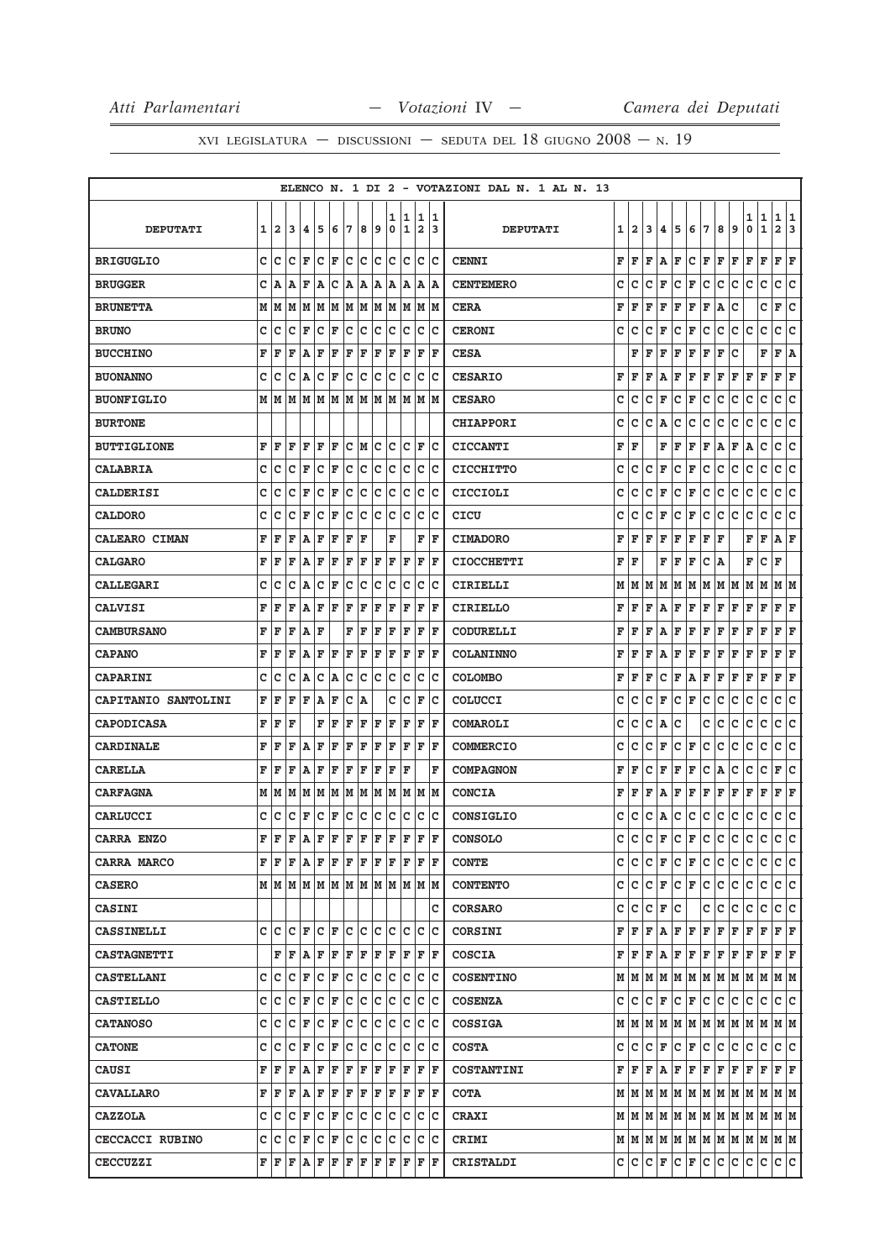|                            |   |              |    |                   |            |     |             |     |     |        |                    |                              |         | ELENCO N. 1 DI 2 - VOTAZIONI DAL N. 1 AL N. 13 |   |              |   |   |     |     |              |   |                                 |        |                                                                             |                              |        |
|----------------------------|---|--------------|----|-------------------|------------|-----|-------------|-----|-----|--------|--------------------|------------------------------|---------|------------------------------------------------|---|--------------|---|---|-----|-----|--------------|---|---------------------------------|--------|-----------------------------------------------------------------------------|------------------------------|--------|
| <b>DEPUTATI</b>            | 1 | $\mathbf{2}$ | 3  | 4                 | 5          | 6   | 7           | 8   | 9   | 1<br>0 | 11<br>$\mathbf{1}$ | 1<br>$\overline{\mathbf{2}}$ | 11<br>3 | <b>DEPUTATI</b>                                | 1 | $\mathbf{2}$ | 3 | 4 | 5   | 6   | 7            | 8 | 9                               | 1<br>0 | 1<br>$\mathbf 1$                                                            | 1<br>$\overline{\mathbf{2}}$ | 1<br>3 |
| <b>BRIGUGLIO</b>           |   | c  c         | c  | ΙF                | Ιc         | F   | lc.         | lc. | Iс  | c      | Iс                 | c                            | Iс      | <b>CENNI</b>                                   | F | F            | F | А | F   | c   | F            | F | F                               | F      | F                                                                           | F                            | F      |
| <b>BRUGGER</b>             | c | ١A           | A  | F                 | ۱A         | c   | A           | A   | A   | A      | A                  | Α                            | ١A      | <b>CENTEMERO</b>                               | с | с            | с | F | c   | F   | с            | с | с                               | c      | c                                                                           | с                            | c      |
| <b>BRUNETTA</b>            |   | MM           | M  | lМ                | lм         | lМ  | lМ          | M   | M   | M      | M                  | M                            | lм      | <b>CERA</b>                                    | F | F            | F | F | F   | F   | F            | A | c                               |        | c                                                                           | F                            | C      |
| <b>BRUNO</b>               | c | Ιc           | c  | l F               | Ιc         | F   | c           | lc. | Iс  | c      | Iс                 | c                            | Iс      | <b>CERONI</b>                                  | с | с            | с | F | с   | F   | c            | с | c                               | с      | $\mathbf C$                                                                 | c                            | lc.    |
| <b>BUCCHINO</b>            | F | ΙF           | F  | A                 | F          | F   | F           | F   | F   | F      | ΙF                 | F                            | l F     | <b>CESA</b>                                    |   | F            | F | F | F   | F   | F            | F | с                               |        | F                                                                           | F                            | A      |
| <b>BUONANNO</b>            | C | Iс           | с  | ١A                | c          | F   | c           | c   | c   | c      | c                  | c                            | Ιc      | <b>CESARIO</b>                                 | F | F            | F | Α | F   | F   | F            | F | F                               | F      | F                                                                           | F                            | F      |
| <b>BUONFIGLIO</b>          |   | MM           | M  | M                 | M          | M   | M           | M   | M   | M      | M                  | M                            | lм      | <b>CESARO</b>                                  | с | с            | c | F | с   | F   | с            | с | с                               | с      | с                                                                           | с                            | c      |
| <b>BURTONE</b>             |   |              |    |                   |            |     |             |     |     |        |                    |                              |         | <b>CHIAPPORI</b>                               | c | c            | C | Α | c   | C   | C            | C | C                               | c      | C                                                                           | c                            | c      |
| <b>BUTTIGLIONE</b>         | F | ΙF           | F  | F                 | ΙF         | F   | с           | M   | lc  | c      | lc                 | F                            | Ιc      | <b>CICCANTI</b>                                | F | F            |   | F | ΙF  | F   | F            | Α | F                               | Α      | c                                                                           | с                            | c      |
| <b>CALABRIA</b>            | c | ١c           | c  | F                 | c          | F   | с           | c   | c   | с      | c                  | с                            | Iс      | <b>CICCHITTO</b>                               | c | c            | с | F | c   | F   | c            | c | c                               | c      | c                                                                           | с                            | C      |
| <b>CALDERISI</b>           | c | c            | c  | F                 | c          | F   | с           | c   | Iс  | c      | Ιc                 | c                            | Iс      | <b>CICCIOLI</b>                                | с | с            | c | F | c   | F   | с            | с | C                               | c      | $\mathbf C$                                                                 | c                            | lc.    |
| <b>CALDORO</b>             | c | c            | c  | F                 | c          | F   | с           | с   | с   | с      | c                  | с                            | Iс      | CICU                                           | с | с            | с | F | с   | F   | с            | с | с                               | с      | с                                                                           | c                            | с      |
| <b>CALEARO CIMAN</b>       | F | ΙF           | F  | A                 | F          | F   | F           | F   |     | F      |                    | F                            | l F     | <b>CIMADORO</b>                                | F | F            | F | F | F   | F   | F            | F |                                 | F      | $\mathbf F$                                                                 | Α                            | ΙF     |
| <b>CALGARO</b>             | F | ΙF           | F  | A                 | ΙF         | F   | F           | l F | F   | F      | F                  | F                            | ΙF      | <b>CIOCCHETTI</b>                              | F | F            |   | F | F   | F   | c            | A |                                 | F      | c                                                                           | F                            |        |
| <b>CALLEGARI</b>           | c | c            | c  | A                 | c          | F   | c           | c   | c   | c      | c                  | c                            | Ιc      | CIRIELLI                                       | М | м            | М | М | M   | М   | M            | M | M                               | М      | М                                                                           | М                            | lм     |
| CALVISI                    | F | F            | F  | A                 | F          | F   | F           | F   | F   | F      | ΙF                 | F                            | ΙF      | <b>CIRIELLO</b>                                | F | F            | F | А | F   | F   | F            | F | F                               | F      | F                                                                           | F                            | F      |
| <b>CAMBURSANO</b>          | F | ΙF           | F  | ١A                | F          |     | F           | F   | F   | F      | F                  | F                            | ΙF      | CODURELLI                                      | F | F            | F | Α | F   | F   | $\mathbf{F}$ | F | F                               | F      | F                                                                           | F                            | F      |
| <b>CAPANO</b>              | F | F            | F  | A                 | F          | F   | F           | F   | F   | F      | F                  | F                            | F       | <b>COLANINNO</b>                               | F | F            | F | Α | F   | F   | F            | F | F                               | F      | F                                                                           | F                            | F      |
| <b>CAPARINI</b>            | c | c            | с  | A                 | c          | lA. | с           | c   | c   | c      | c                  | c                            | Iс      | <b>COLOMBO</b>                                 | F | F            | F | с | F   | Α   | F            | F | F                               | F      | F                                                                           | F                            | F      |
| <b>CAPITANIO SANTOLINI</b> | F | l F          | F  | F                 | ۱A         | F   | с           | ١A  |     | c      | c                  | F                            | Ιc      | COLUCCI                                        | с | c            | c | F | с   | F   | с            | с | с                               | с      | с                                                                           | c                            | c      |
| <b>CAPODICASA</b>          | F | ΙF           | F  |                   | F          | F   | F           | F   | F   | F      | F                  | F                            | ΙF      | COMAROLI                                       | c | c            | c | А | c   |     | c            | с | с                               | c      | с                                                                           | c                            | c      |
| <b>CARDINALE</b>           | F | ΙF           | F  | A                 | F          | F   | F           | F   | F   | F      | ΙF                 | F                            | ΙF      | <b>COMMERCIO</b>                               | c | c            | с | F | c   | F   | c            | c | с                               | с      | C                                                                           | c                            | c      |
| CARELLA                    | F | ΙF           | F  | ١A                | ΙF         | F   | F           | F   | F   | F      | ΙF                 |                              | F       | <b>COMPAGNON</b>                               | F | F            | c | F | F   | F   | C            | Α | c                               | с      | c                                                                           | F                            | c      |
| <b>CARFAGNA</b>            |   | МИ           | M  | lМ                | lм         | lм  | lМ          | M   | M   | M      | M                  | M                            | lМ      | <b>CONCIA</b>                                  | F | F            | F | А | F   | F   | F            | F | F                               | F      | F                                                                           | F                            | F      |
| CARLUCCI                   | с | c            | c  | F                 | c          | F   | с           | с   | c   | с      | c                  | с                            | Iс      | <b>CONSIGLIO</b>                               | с | с            | с | Α | с   | с   | с            | с | с                               | с      | с                                                                           | с                            | c      |
| CARRA ENZO                 | F | F            | F  | A                 | F          | F   | F           | F   | F   | F      | F                  | F                            | F       | <b>CONSOLO</b>                                 | C | c            | c | F | c   | F   | c            | с | с                               | c      | c                                                                           | c                            | c      |
| CARRA MARCO                |   | FF           | F  | AF                |            | F F |             | F F |     | lF.    | ΙF                 | F                            | ١F      | <b>CONTE</b>                                   |   | c  c         | с | F | c.  | F   | c            | c | c                               | с      | c                                                                           | c c                          |        |
| <b>CASERO</b>              |   |              |    |                   |            |     |             |     |     |        |                    |                              |         | <b>CONTENTO</b>                                | c | c            | c | F | lc. | F   | c            | c | c                               | c      | c                                                                           | c c                          |        |
| <b>CASINI</b>              |   |              |    |                   |            |     |             |     |     |        |                    |                              | c       | <b>CORSARO</b>                                 | c | с            | с | F | Iс  |     | с            | c | с                               | с      | с                                                                           | C C                          |        |
| <b>CASSINELLI</b>          |   |              |    | C C C F C F C C C |            |     |             |     |     |        | c c                | Iс                           | c       | <b>CORSINI</b>                                 | F | F            | F | Α |     | F F | F            | F | F                               | F      | F                                                                           | F F                          |        |
| <b>CASTAGNETTI</b>         |   | F            | ΙF | ١A                | F          | F   | F           | F   | F   | F      | F                  | F                            | lF.     | <b>COSCIA</b>                                  | F | F            | F | Α | F   | F   | F            | F | F                               | F      | F                                                                           | F F                          |        |
| <b>CASTELLANI</b>          |   |              |    | C C C F C F C     |            |     |             |     | c c |        | c c                |                              | C C     | <b>COSENTINO</b>                               |   | M   M        | M |   |     |     |              |   | M  M  M  M  M  M  M  M          |        |                                                                             | M M                          |        |
| <b>CASTIELLO</b>           | c | c            | c  | F                 | c          | F   | c           | c   | с   | c      | Ιc                 | c                            | Iс      | <b>COSENZA</b>                                 | c | с            | с | F | с   | F   | c            | с | с                               | с      | с                                                                           | c c                          |        |
| <b>CATANOSO</b>            | c | ∣c           | c  | F                 | $ {\bf c}$ | F   | $ {\bf c} $ | c   | ∣c  | c      | c                  | c                            | Iс      | <b>COSSIGA</b>                                 |   | МM           | M |   |     |     |              |   |                                 |        | M  M  M  M  M  M  M  M  M                                                   |                              |        |
| <b>CATONE</b>              |   | c  c         | Iс | F                 | Ιc         | F   | Iс          | Iс  | Iс  | Iс     | Iс                 | c                            | Iс      | <b>COSTA</b>                                   | c | с            | c | F | lc. | F   | c            | c | c                               | с      | c                                                                           | c c                          |        |
| <b>CAUSI</b>               | F | ١F           | F  | ١A                | F          | F   | F           | F   | F   | F      | F                  | F                            | ١F      | <b>COSTANTINI</b>                              | F | lF.          | F | Α | F   | F   | F            | F | F                               | F      | F                                                                           | F F                          |        |
| <b>CAVALLARO</b>           |   | FF           | F  | $A$ $F$ $F$ $F$   |            |     |             |     | F F | F      | ΙF                 | F F                          |         | <b>COTA</b>                                    |   | МM           | M |   |     |     |              |   | $M$ $M$ $M$ $M$ $M$ $M$ $M$ $M$ |        |                                                                             | MM                           |        |
| <b>CAZZOLA</b>             |   | c  c         | с  | F                 | $ C $ F    |     | lc.         | lc. | Iс  | с      | Iс                 | c                            | ΙC      | <b>CRAXI</b>                                   |   |              |   |   |     |     |              |   |                                 |        | $M$   $M$   $M$   $M$   $M$   $M$   $M$   $M$   $M$   $M$   $M$   $M$   $M$ |                              |        |
| CECCACCI RUBINO            |   |              |    | C C C F C F C     |            |     |             | Iс  | Iс  | с      | Iс                 | с                            | Ιc      | CRIMI                                          |   |              |   |   |     |     |              |   |                                 |        | $M$   $M$   $M$   $M$   $M$   $M$   $M$   $M$   $M$   $M$   $M$   $M$   $M$ |                              |        |
| <b>CECCUZZI</b>            |   | FF           | F  | $A$ $F$           |            | F   | F           | F   | F   | F      | F                  | F                            | F       | CRISTALDI                                      |   | c  c         | c | F | c   | F   | c            | c | c                               | c      | c                                                                           | c c                          |        |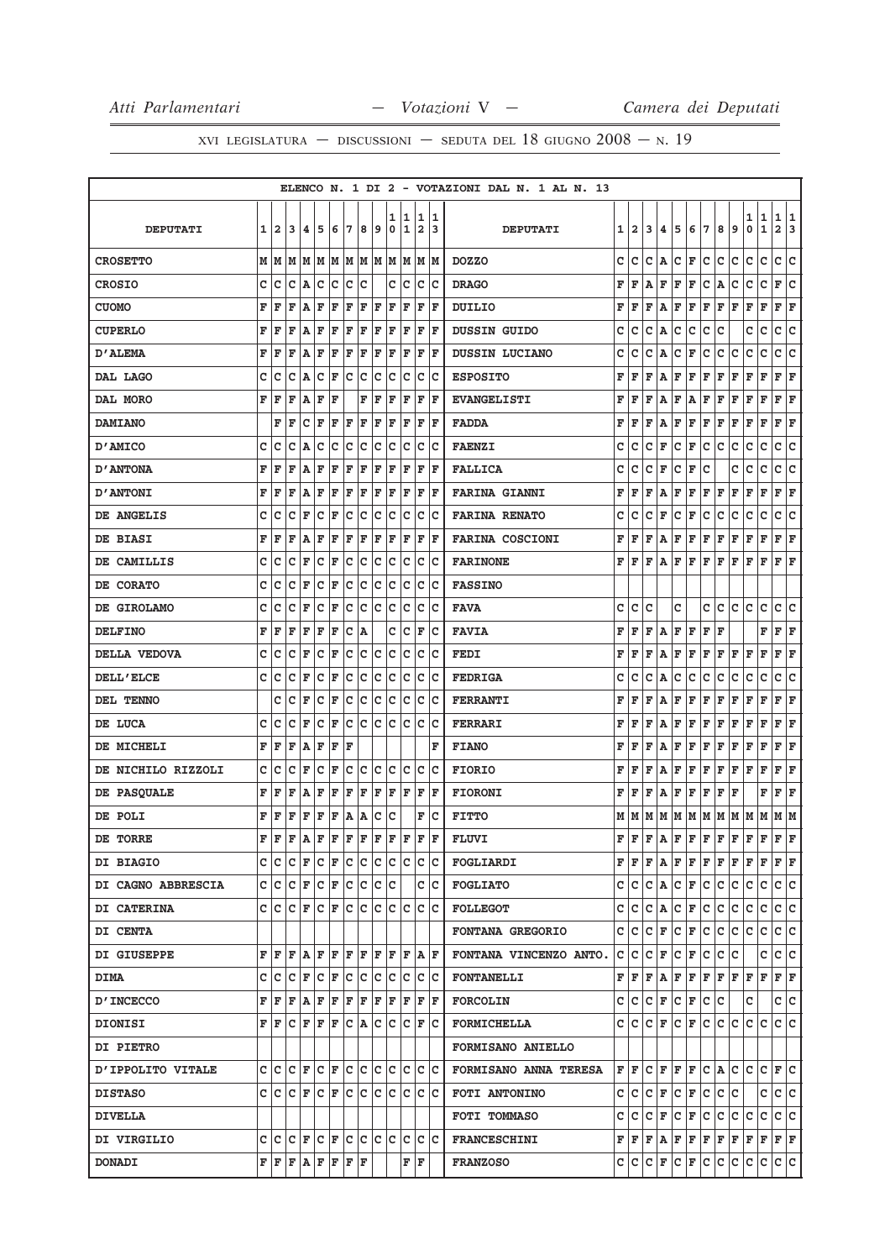|                    |   |                               |             |       |                    |     |     |     |                                 |     |      |                |     |   | ELENCO N. 1 DI 2 - VOTAZIONI DAL N. 1 AL N. 13 |   |         |   |     |     |                                 |     |     |     |     |                                                                                                                                                                                                                                                                                                                                                                                                                                                                                            |              |     |
|--------------------|---|-------------------------------|-------------|-------|--------------------|-----|-----|-----|---------------------------------|-----|------|----------------|-----|---|------------------------------------------------|---|---------|---|-----|-----|---------------------------------|-----|-----|-----|-----|--------------------------------------------------------------------------------------------------------------------------------------------------------------------------------------------------------------------------------------------------------------------------------------------------------------------------------------------------------------------------------------------------------------------------------------------------------------------------------------------|--------------|-----|
|                    |   |                               |             |       |                    |     |     |     |                                 | 1   | 11   | 1              | 11  |   |                                                |   |         |   |     |     |                                 |     |     |     | 1   | 1                                                                                                                                                                                                                                                                                                                                                                                                                                                                                          | 1            | 11  |
| <b>DEPUTATI</b>    | 1 | $\overline{\mathbf{2}}$       | 3           | 14.   | 15                 | 6   | 17  | 8   | و ا                             | 0   | 1    | $\overline{2}$ | 13  |   | <b>DEPUTATI</b>                                |   | 1 2     | 3 | 4   | 5   | 6                               | 17  | 8   | 9   | 0   | $\mathbf 1$                                                                                                                                                                                                                                                                                                                                                                                                                                                                                | $\mathbf{2}$ | 3   |
| <b>CROSETTO</b>    |   |                               |             |       |                    |     |     |     | MMMMMMMMMM                      |     | M M  | M M            |     |   | <b>DOZZO</b>                                   | c | c       | c | A   | lc. | F                               | lc. | с   | c   | с   | c                                                                                                                                                                                                                                                                                                                                                                                                                                                                                          | c            | lc  |
| <b>CROSIO</b>      | c | lc                            |             | C A C |                    | lc. | lc. | Ιc  |                                 | c   | Iс   | c              | Iс  |   | <b>DRAGO</b>                                   | F | F       | A | F   | F   | F                               | lc. | A   | c   | c   | $\mathtt{C}$                                                                                                                                                                                                                                                                                                                                                                                                                                                                               | F            | lc. |
| <b>CUOMO</b>       | F | F                             | F           | A     | F                  | F   | F   | F   | F                               | F   | F    | F              | F   |   | DUILIO                                         | F | F       | F | Α   | F   | F                               | F   | F   | F   | F   | F                                                                                                                                                                                                                                                                                                                                                                                                                                                                                          | F            | F   |
| <b>CUPERLO</b>     | F | F                             | ΙF          | ΙA.   | F                  | F   | F   | F   | F                               | F   | F    | F              | ١F  |   | DUSSIN GUIDO                                   | с | c       | c | Α   | с   | c                               | lc. | Iс  |     | c   | $\mathbf C$                                                                                                                                                                                                                                                                                                                                                                                                                                                                                | c c          |     |
| D'ALEMA            | F | ΙF                            | F           | ١A    | ΙF                 | F   | ΙF  | F   | F                               | F   | F    | F              | ΙF  |   | DUSSIN LUCIANO                                 | c | c       | c | Α   | с   | F                               | с   | с   | с   | c   | с                                                                                                                                                                                                                                                                                                                                                                                                                                                                                          | c            | c   |
| DAL LAGO           | c | c                             | C           | A     | lc                 | F   | lc. | lc  | lc.                             | c   | lc   | C              | Ιc  |   | <b>ESPOSITO</b>                                | F | F       | F | Α   | F   | F                               | F   | F   | F   | F   | F                                                                                                                                                                                                                                                                                                                                                                                                                                                                                          | F            | F   |
| DAL MORO           | F | l F                           | F           | A     | F                  | ΙF  |     | F   | F                               | F   | F    | F              | lF. |   | <b>EVANGELISTI</b>                             | F | F       | F | Α   | F   | Α                               | F   | F   | F   | F   | F                                                                                                                                                                                                                                                                                                                                                                                                                                                                                          | F            | F   |
| <b>DAMIANO</b>     |   | F                             | ΙF          | lc    | ΙF                 | F   | ΙF  | F   | ΙF                              | F   | F    | F              | ΙF  |   | <b>FADDA</b>                                   | F | F       | F | A   | F   | F                               | F   | F   | F   | F   | F                                                                                                                                                                                                                                                                                                                                                                                                                                                                                          | F            | ΙF  |
| D'AMICO            | c | Iс                            | c           | ١A    | Ιc                 | lc. | lc. | lc. | Iс                              | c   | Iс   | с              | Ιc  |   | <b>FAENZI</b>                                  | с | с       | c | F   | c   | F                               | c   | c   | c   | c   | $\mathbf C$                                                                                                                                                                                                                                                                                                                                                                                                                                                                                | c            | lc. |
| <b>D'ANTONA</b>    | F | ΙF                            | F           | A     | F                  | F   | F   | F   | F                               | F   | ΙF   | F              | F   |   | <b>FALLICA</b>                                 | с | с       | с | F   | с   | F                               | с   |     | с   | с   | с                                                                                                                                                                                                                                                                                                                                                                                                                                                                                          | с            | с   |
| <b>D'ANTONI</b>    | F | F                             | ΙF          | A     | F                  | F   | F   | F   | F                               | F   | F    | F              | lF. |   | <b>FARINA GIANNI</b>                           | F | F       | F | Α   | F   | F                               | F   | F   | F   | F   | F                                                                                                                                                                                                                                                                                                                                                                                                                                                                                          | F F          |     |
| DE ANGELIS         | C | C                             | C           | F     | c                  | F   | c   | C   | c                               | c   | c    | c              | Ιc  |   | <b>FARINA RENATO</b>                           | c | c       | c | F   | с   | F                               | с   | с   | с   | с   | с                                                                                                                                                                                                                                                                                                                                                                                                                                                                                          | c            | c   |
| DE BIASI           | F | F                             | ΙF          | A     | ΙF                 | F   | F   | F   | ΙF                              | ΙF  | F    | F              | l F |   | <b>FARINA COSCIONI</b>                         | F | F       | F | Α   | F   | F                               | F   | F   | F   | F   | F                                                                                                                                                                                                                                                                                                                                                                                                                                                                                          | F            | F   |
| DE CAMILLIS        | c | lc                            | c           | ΙF    | lc                 | F   | c   | Ιc  | Iс                              | Iс  | lc   | c              | Ιc  |   | <b>FARINONE</b>                                | F | F       | F | Α   | F   | F                               | F   | F   | l F | F   | ΙF                                                                                                                                                                                                                                                                                                                                                                                                                                                                                         | F F          |     |
| DE CORATO          | C | c                             | c           | F     | c                  | F   | c   | c   | Iс                              | c   | Ιc   | c              | Ιc  |   | <b>FASSINO</b>                                 |   |         |   |     |     |                                 |     |     |     |     |                                                                                                                                                                                                                                                                                                                                                                                                                                                                                            |              |     |
| DE GIROLAMO        | c | Iс                            | Iс          | l F   | $ C $ $\mathbf{F}$ |     | lc. | lc. | Iс                              | Iс  | Iс   | c              | Ιc  |   | <b>FAVA</b>                                    | c | c       | c |     | c   |                                 | c   | c.  | lc. | c   | c                                                                                                                                                                                                                                                                                                                                                                                                                                                                                          | c            | lc. |
| <b>DELFINO</b>     | F | ΙF                            | F           | F     | ΙF                 | F   | с   | ١A  |                                 | с   | c    | F              | Ιc  |   | <b>FAVIA</b>                                   | F | F       | F | Α   | F   | F                               | F   | F   |     |     | F                                                                                                                                                                                                                                                                                                                                                                                                                                                                                          | F            | F   |
| DELLA VEDOVA       | C | c                             | c           | ΙF    | lc                 | F   | c   | c   | c                               | c   | Iс   | c              | lc  |   | <b>FEDI</b>                                    | F | F       | F | Α   | F   | F                               | F   | F   | F   | F   | F                                                                                                                                                                                                                                                                                                                                                                                                                                                                                          | F F          |     |
| <b>DELL'ELCE</b>   | C | lc                            | C           | l F   | lc                 | F   | lc. | lc  | lc.                             | lc. | lc   | c              | Ιc  |   | <b>FEDRIGA</b>                                 | c | c       | c | А   | c   | C                               | C   | c   | с   | c   | с                                                                                                                                                                                                                                                                                                                                                                                                                                                                                          | c            | c   |
| DEL TENNO          |   | C                             | ١c          | ΙF    | c                  | F   | c   | c   | Iс                              | c   | lc   | с              | Ιc  |   | <b>FERRANTI</b>                                | F | F       | F | Α   | F   | F                               | F   | F   | F   | F   | F                                                                                                                                                                                                                                                                                                                                                                                                                                                                                          | F            | ΙF  |
| DE LUCA            | C | ١c                            | c           | ΙF    | lc                 | F   | c   | Ιc  | Iс                              | lc. | lc   | c              | Ιc  |   | <b>FERRARI</b>                                 | F | F       | F | Α   | F   | F                               | F   | F   | F   | F   | F                                                                                                                                                                                                                                                                                                                                                                                                                                                                                          | F            | F   |
| DE MICHELI         | F | F                             | F           | A     | F                  | F   | F   |     |                                 |     |      |                |     | F | <b>FIANO</b>                                   | F | F       | F | A   | F   | F                               | F   | F   | F   | F   | $\mathbf{F}$                                                                                                                                                                                                                                                                                                                                                                                                                                                                               | F            | ΙF  |
| DE NICHILO RIZZOLI | c | lc                            | Iс          | l F   | lc                 | F   | lc. | lc. | lc                              | c   | Iс   | c              | lc  |   | <b>FIORIO</b>                                  | F | F       | F | А   | F   | F                               | F   | F   | F   | F   | F                                                                                                                                                                                                                                                                                                                                                                                                                                                                                          | F            | F   |
| DE PASQUALE        | F | ΙF                            | F           | A     | F                  | F   | F   | F   | F                               | F   | F    | F              | F   |   | <b>FIORONI</b>                                 | F | F       | F | Α   | F   | F                               | F   | F   | F   |     | F                                                                                                                                                                                                                                                                                                                                                                                                                                                                                          | F            | F   |
| DE POLI            | F | İF                            | F           | F     | F                  | F   | A   | A   | c                               | c   |      | F              | Ιc  |   | <b>FITTO</b>                                   | м | M       | M | M   | M   | M                               | M   | M   | M   | M   | M                                                                                                                                                                                                                                                                                                                                                                                                                                                                                          | MM           |     |
| DE TORRE           | F | F                             | $\mathbf F$ | ١A.   | F                  | F   | F   | F   | $\mathbf F$                     | F   | F    | F              | F   |   | <b>FLUVI</b>                                   |   | FF      | F | ۱A. | F F |                                 | F   | F   | F   | F   | F                                                                                                                                                                                                                                                                                                                                                                                                                                                                                          | F            | l F |
| <b>DI BIAGIO</b>   |   |                               |             |       |                    |     |     |     | CCCCFCFCFCCCCCCCC               |     |      |                |     |   | <b>FOGLIARDI</b>                               |   |         |   |     |     |                                 |     |     |     |     | ${\bf F}\, \,{\bf F}\, \,{\bf F}\, \,{\bf A}\, \,{\bf F}\, \,{\bf F}\, \,{\bf F}\, \,{\bf F}\, \,{\bf F}\, \,{\bf F}\, \,{\bf F}\, \,{\bf F}\, \,{\bf F}\, \,{\bf F}\, \,{\bf F}\, \,{\bf F}\, \,{\bf F}\, \,{\bf F}\, \,{\bf F}\, \,{\bf F}\, \,{\bf F}\, \,{\bf F}\, \,{\bf F}\, \,{\bf F}\, \,{\bf F}\, \,{\bf F}\, \,{\bf F}\, \,{\bf F}\, \,{\bf F}\, \,{\bf F}\, \,{\bf F}\, \,{\bf F$                                                                                               |              |     |
| DI CAGNO ABBRESCIA |   |                               |             |       |                    |     |     |     |                                 |     |      |                | c c |   | <b>FOGLIATO</b>                                |   |         |   |     |     | $C C C A C F C C C$             |     |     |     | lc. | lc.                                                                                                                                                                                                                                                                                                                                                                                                                                                                                        | c c          |     |
| DI CATERINA        |   |                               |             |       |                    |     |     |     |                                 |     |      |                |     |   | <b>FOLLEGOT</b>                                |   | C C C A |   |     |     | $ C $ $\mathbf{F} C$            |     | lc. | lc. | с   | с                                                                                                                                                                                                                                                                                                                                                                                                                                                                                          | c c          |     |
| <b>DI CENTA</b>    |   |                               |             |       |                    |     |     |     |                                 |     |      |                |     |   | <b>FONTANA GREGORIO</b>                        |   |         |   |     |     | C C C F C F C                   |     | c c |     | c c |                                                                                                                                                                                                                                                                                                                                                                                                                                                                                            | c c          |     |
| DI GIUSEPPE        |   |                               |             |       |                    |     |     |     | F F F A F F F F F F             |     | F  F |                | A F |   | FONTANA VINCENZO ANTO.                         |   | C C C F |   |     |     | $ C $ $\mathbf{F}$ $ C $        |     | с   | c   |     | с                                                                                                                                                                                                                                                                                                                                                                                                                                                                                          | c c          |     |
| <b>DIMA</b>        |   | $C C C F C F C C C C$         |             |       |                    |     |     |     |                                 |     | c c  |                | c c |   | <b>FONTANELLI</b>                              |   |         |   |     |     |                                 |     |     |     |     | ${\bf F} \,   \, {\bf F} \,   \, {\bf F} \,   \, {\bf F} \,   \, {\bf F} \,   \, {\bf F} \,   \, {\bf F} \,   \, {\bf F} \,   \, {\bf F} \,   \, {\bf F} \,   \, {\bf F} \,   \, {\bf F} \,   \, {\bf F} \,   \, {\bf F} \,   \, {\bf F} \,   \, {\bf F} \,   \, {\bf F} \,   \, {\bf F} \,   \, {\bf F} \,   \, {\bf F} \,   \, {\bf F} \,   \, {\bf F} \,   \, {\bf F} \,   \, {\bf F} \,   \, {\bf F}$                                                                                  |              |     |
| <b>D'INCECCO</b>   |   |                               |             |       |                    |     |     |     |                                 |     |      |                |     |   | <b>FORCOLIN</b>                                |   |         |   |     |     | $C C C F C F C C$               |     |     |     | c   |                                                                                                                                                                                                                                                                                                                                                                                                                                                                                            | c c          |     |
| DIONISI            |   |                               |             |       |                    |     |     |     | FFCFFFCACCCFC                   |     |      |                |     |   | <b>FORMICHELLA</b>                             |   |         |   |     |     |                                 |     |     |     |     | $C C C F C F C C C C C C C C C $                                                                                                                                                                                                                                                                                                                                                                                                                                                           |              |     |
| <b>DI PIETRO</b>   |   |                               |             |       |                    |     |     |     |                                 |     |      |                |     |   | <b>FORMISANO ANIELLO</b>                       |   |         |   |     |     |                                 |     |     |     |     |                                                                                                                                                                                                                                                                                                                                                                                                                                                                                            |              |     |
| D'IPPOLITO VITALE  |   |                               |             |       |                    |     |     |     | CCCCFCFCFCCCCCCCC               |     |      |                |     |   | <b>FORMISANO ANNA TERESA</b>                   |   |         |   |     |     |                                 |     |     |     |     | $F$ $F$ $C$ $F$ $F$ $F$ $C$ $A$ $C$ $C$ $C$ $F$ $C$                                                                                                                                                                                                                                                                                                                                                                                                                                        |              |     |
| <b>DISTASO</b>     |   |                               |             |       |                    |     |     |     | c c c F c F c c c c c c c c c c |     |      |                |     |   | FOTI ANTONINO                                  |   |         |   |     |     | $C  C   C   F   C   F   C   C $ |     |     |     |     | c c c                                                                                                                                                                                                                                                                                                                                                                                                                                                                                      |              |     |
| <b>DIVELLA</b>     |   |                               |             |       |                    |     |     |     |                                 |     |      |                |     |   | FOTI TOMMASO                                   |   |         |   |     |     | C C C F C F C                   |     | c.  | lc. | с   | с                                                                                                                                                                                                                                                                                                                                                                                                                                                                                          | c c          |     |
| DI VIRGILIO        |   |                               |             |       |                    |     |     |     | C C C F C F C C C C C           |     |      |                | c c |   | <b>FRANCESCHINI</b>                            |   |         |   |     |     |                                 |     |     |     |     | $\mathbf{F} \left  \mathbf{F} \right. \left  \mathbf{F} \right. \left  \mathbf{F} \right. \left  \mathbf{F} \right. \left  \mathbf{F} \right. \left  \mathbf{F} \right. \left  \mathbf{F} \right. \left  \mathbf{F} \right. \left  \mathbf{F} \right. \left  \mathbf{F} \right. \left  \mathbf{F} \right. \left  \mathbf{F} \right. \left  \mathbf{F} \right. \left  \mathbf{F} \right. \left  \mathbf{F} \right. \left  \mathbf{F} \right. \left  \mathbf{F} \right. \left  \mathbf{F} \$ |              |     |
| <b>DONADI</b>      |   | F   F   F   A   F   F   F   F |             |       |                    |     |     |     |                                 |     |      | FF             |     |   | <b>FRANZOSO</b>                                |   |         |   |     |     |                                 |     |     |     |     | $C  C   C   F   C   C   C   C   C   C   C $                                                                                                                                                                                                                                                                                                                                                                                                                                                |              |     |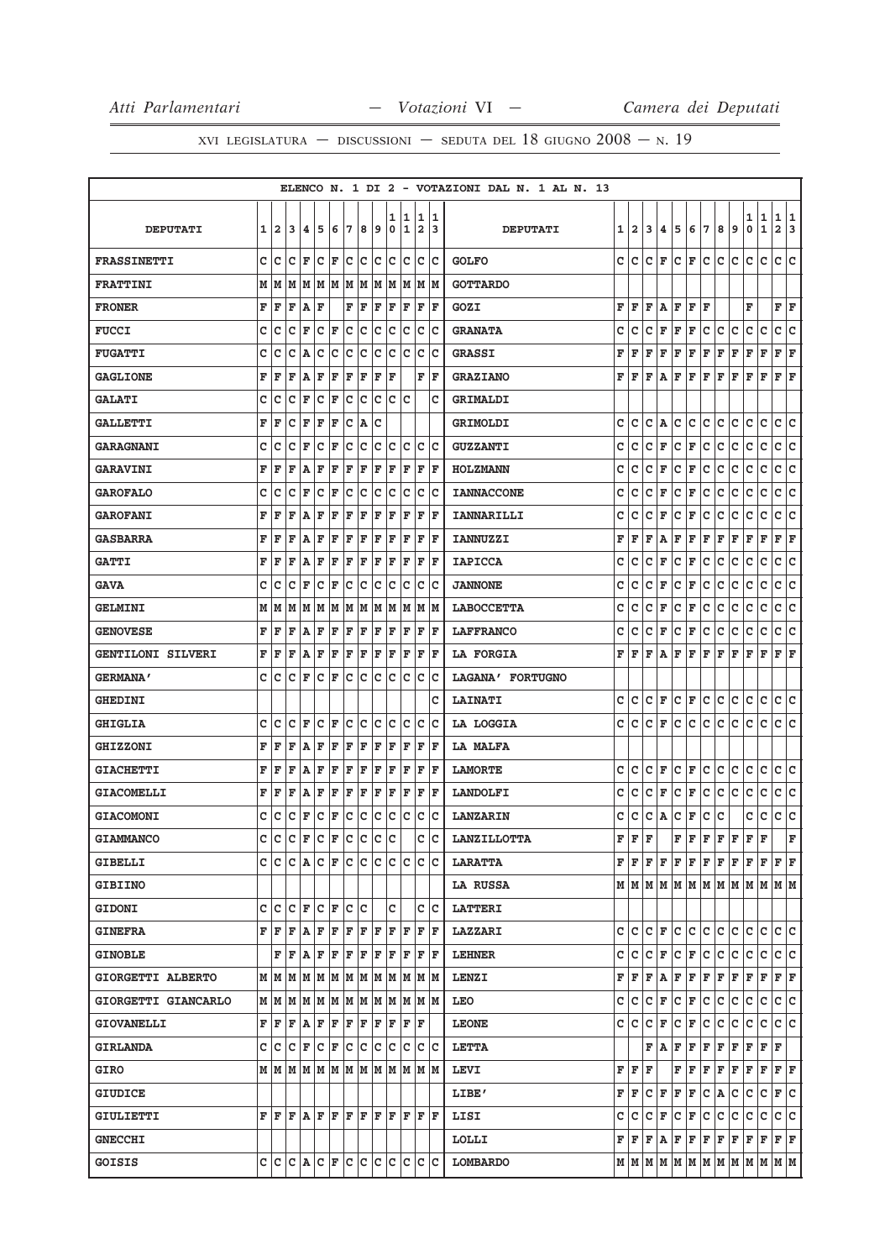|                          |   |                |     |                                                           |    |     |     |     |              |              |        |        |                                                 | ELENCO N. 1 DI 2 - VOTAZIONI DAL N. 1 AL N. 13 |   |                                             |     |                 |                                                                                                                                                                          |             |     |     |     |                                                                                                                                                                                                                                                                                                                                                                                                                                                                                            |              |              |     |
|--------------------------|---|----------------|-----|-----------------------------------------------------------|----|-----|-----|-----|--------------|--------------|--------|--------|-------------------------------------------------|------------------------------------------------|---|---------------------------------------------|-----|-----------------|--------------------------------------------------------------------------------------------------------------------------------------------------------------------------|-------------|-----|-----|-----|--------------------------------------------------------------------------------------------------------------------------------------------------------------------------------------------------------------------------------------------------------------------------------------------------------------------------------------------------------------------------------------------------------------------------------------------------------------------------------------------|--------------|--------------|-----|
| <b>DEPUTATI</b>          | 1 | $\overline{2}$ | 13  | 14.                                                       | 5  | 6   | 17  | 8   | و            | ı<br>0       | 1<br>1 | 1<br>2 | 1<br>3                                          | <b>DEPUTATI</b>                                | 1 | 2                                           | 3   | 4               |                                                                                                                                                                          | 567         |     | 8   | 9   | 1   1<br>0                                                                                                                                                                                                                                                                                                                                                                                                                                                                                 | 1            | 11<br>2 3    |     |
|                          |   |                |     |                                                           |    |     |     |     |              |              |        |        |                                                 |                                                |   |                                             |     |                 |                                                                                                                                                                          |             |     |     |     |                                                                                                                                                                                                                                                                                                                                                                                                                                                                                            |              |              |     |
| <b>FRASSINETTI</b>       | c | lc             | с   | F                                                         | c  | F   | с   | c   | Ιc           | c            | Ιc     | c      | Iс                                              | <b>GOLFO</b>                                   | c | c                                           | c   | F               | c                                                                                                                                                                        | F           | lc. | c   | c   | c                                                                                                                                                                                                                                                                                                                                                                                                                                                                                          | c            | c            | Iс  |
| <b>FRATTINI</b>          |   | MM             |     | M  M  M  M  M                                             |    |     |     | MM  |              | M            | M      |        | M  M                                            | <b>GOTTARDO</b>                                |   |                                             |     |                 |                                                                                                                                                                          |             |     |     |     |                                                                                                                                                                                                                                                                                                                                                                                                                                                                                            |              |              |     |
| <b>FRONER</b>            | F | F              | F   | A                                                         | F  |     | F   | F   | F            | F            | F      | F      | F                                               | GOZI                                           | F | F                                           | F   | A               | F                                                                                                                                                                        | F           | F   |     |     | F                                                                                                                                                                                                                                                                                                                                                                                                                                                                                          |              | F            | F   |
| <b>FUCCI</b>             | c | Ιc             | c   | F                                                         | c  | F   | C   | C   | c            | c            | c      | c      | Ιc                                              | <b>GRANATA</b>                                 | с | с                                           | с   | F               | F                                                                                                                                                                        | $\mathbf F$ | c   | c   | c   | c                                                                                                                                                                                                                                                                                                                                                                                                                                                                                          | c            | c            | c   |
| <b>FUGATTI</b>           | c | c              | c   | A                                                         | c  | c   | c   | C   | c            | c            | c      | c      | c                                               | <b>GRASSI</b>                                  | F | F                                           | F   | F               | F                                                                                                                                                                        | F           | F   | F   | F   | F                                                                                                                                                                                                                                                                                                                                                                                                                                                                                          | F            | $\mathbf{F}$ | F   |
| <b>GAGLIONE</b>          | F | F              | F   | ١A                                                        | F  | F   | F   | F   | ΙF           | F            |        | F      | ΙF                                              | <b>GRAZIANO</b>                                | F | F                                           | F   | l A             | F                                                                                                                                                                        | F           | lF. | F   | F   | F                                                                                                                                                                                                                                                                                                                                                                                                                                                                                          | F            | F            | F   |
| <b>GALATI</b>            | с | с              | c   | F                                                         | c  | F   | c   | lc. | Iс           | c            | Ιc     |        | c                                               | GRIMALDI                                       |   |                                             |     |                 |                                                                                                                                                                          |             |     |     |     |                                                                                                                                                                                                                                                                                                                                                                                                                                                                                            |              |              |     |
| <b>GALLETTI</b>          | F | F              | c   | F                                                         | F  | F   | c   | ١A  | с            |              |        |        |                                                 | <b>GRIMOLDI</b>                                | с | c                                           | с   | Α               | c                                                                                                                                                                        | c           | lc. | c   | c   | c                                                                                                                                                                                                                                                                                                                                                                                                                                                                                          | с            | c            | с   |
| <b>GARAGNANI</b>         | c | с              | c   | F                                                         | с  | F   | с   | c   | Iс           | c            | Iс     | c      | Ιc                                              | <b>GUZZANTI</b>                                | с | с                                           | с   | F               | c                                                                                                                                                                        | F           | Iс  | с   | c   | с                                                                                                                                                                                                                                                                                                                                                                                                                                                                                          | c            | c            | lc. |
| <b>GARAVINI</b>          | F | F              | F   | A                                                         | F  | F   | F   | F   | F            | F            | F      | F      | F                                               | <b>HOLZMANN</b>                                | с | с                                           | с   | F               | с                                                                                                                                                                        | F           | с   | с   | с   | с                                                                                                                                                                                                                                                                                                                                                                                                                                                                                          | с            | с            | c   |
| <b>GAROFALO</b>          | c | c              | c   | F                                                         | c  | F   | c   | C   | c            | C            | c      | c      | c                                               | <b>IANNACCONE</b>                              | с | с                                           | с   | F               | с                                                                                                                                                                        | $\mathbf F$ | с   | с   | с   | c                                                                                                                                                                                                                                                                                                                                                                                                                                                                                          | c            | c            | c   |
| <b>GAROFANI</b>          | F | F              | F   | A                                                         | F  | F   | F   | F   | F            | ΙF           | F      | ΙF     | l F                                             | IANNARILLI                                     | c | с                                           | c   | F               | c                                                                                                                                                                        | F           | c   | c   | c   | c                                                                                                                                                                                                                                                                                                                                                                                                                                                                                          | c            | c            | c   |
| <b>GASBARRA</b>          | F | F              | ΙF  | lA.                                                       | F  | F   | F   | F   | F            | F            | F      | F      | F                                               | <b>IANNUZZI</b>                                | F | F                                           | F   | A               | F                                                                                                                                                                        | F           | F   | F   | F   | F                                                                                                                                                                                                                                                                                                                                                                                                                                                                                          | F            | F            | F   |
| <b>GATTI</b>             | F | F              | F   | A                                                         | F  | F   | F   | F   | F            | F            | F      | F      | F                                               | <b>IAPICCA</b>                                 | c | с                                           | с   | F               | с                                                                                                                                                                        | $\mathbf F$ | с   | c   | с   | c                                                                                                                                                                                                                                                                                                                                                                                                                                                                                          | c            | c            | lc. |
| <b>GAVA</b>              | C | Iс             | c   | F                                                         | c  | F   | с   | c   | Iс           | c            | c      | c      | c                                               | <b>JANNONE</b>                                 | с | с                                           | с   | F               | с                                                                                                                                                                        | F           | c   | c   | с   | c                                                                                                                                                                                                                                                                                                                                                                                                                                                                                          | c            | c            | c   |
| <b>GELMINI</b>           | м | M              | M   | M                                                         | M  | M   | M   | M   | M            | lм           | M      | М      | lМ                                              | <b>LABOCCETTA</b>                              | с | c                                           | с   | F               | с                                                                                                                                                                        | F           | c   | с   | с   | c                                                                                                                                                                                                                                                                                                                                                                                                                                                                                          | c            | с            | с   |
| <b>GENOVESE</b>          | F | F              | F   | lA.                                                       | F  | F   | F   | F   | F            | F            | F      | F      | F                                               | <b>LAFFRANCO</b>                               | с | с                                           | с   | F               | с                                                                                                                                                                        | F           | c   | с   | с   | с                                                                                                                                                                                                                                                                                                                                                                                                                                                                                          | с            | c            | с   |
| <b>GENTILONI SILVERI</b> | F | F              | F   | A                                                         | F  | F   | F   | F   | F            | ΙF           | F      | F      | l F                                             | <b>LA FORGIA</b>                               | F | F                                           | F   | Α               | F                                                                                                                                                                        | F           | F   | F   | F   | F                                                                                                                                                                                                                                                                                                                                                                                                                                                                                          | $\mathbf F$  | F            | F   |
| <b>GERMANA'</b>          | c | Iс             | c   | F                                                         | Iс | F   | c   | lc. | Ιc           | c            | Iс     | c      | Ιc                                              | LAGANA' FORTUGNO                               |   |                                             |     |                 |                                                                                                                                                                          |             |     |     |     |                                                                                                                                                                                                                                                                                                                                                                                                                                                                                            |              |              |     |
| <b>GHEDINI</b>           |   |                |     |                                                           |    |     |     |     |              |              |        |        | c                                               | <b>LAINATI</b>                                 | c | c                                           | c   | F               | c                                                                                                                                                                        | F           | lc. | с   | c   | с                                                                                                                                                                                                                                                                                                                                                                                                                                                                                          | с            | c            | с   |
| <b>GHIGLIA</b>           | c | Iс             | c   | F                                                         | c  | F   | c   | lc. | Iс           | c            | lc.    | c      | Iс                                              | LA LOGGIA                                      | c | c                                           | c   | F               | c                                                                                                                                                                        | c           | lc. | c   | c   | c                                                                                                                                                                                                                                                                                                                                                                                                                                                                                          | c            | c c          |     |
| <b>GHIZZONI</b>          | F | F              | F   | A                                                         | F  | F   | F   | F   | F            | F            | F      | F      | F                                               | LA MALFA                                       |   |                                             |     |                 |                                                                                                                                                                          |             |     |     |     |                                                                                                                                                                                                                                                                                                                                                                                                                                                                                            |              |              |     |
| <b>GIACHETTI</b>         | F | F              | F   | A                                                         | F  | F   | F   | F   | F            | F            | F      | F      | F                                               | <b>LAMORTE</b>                                 | с | с                                           | с   | F               | c                                                                                                                                                                        | F           | Iс  | с   | с   | с                                                                                                                                                                                                                                                                                                                                                                                                                                                                                          | c            | c            | Ιc  |
| <b>GIACOMELLI</b>        | F | F              | F   | A                                                         | F  | F   | F   | F   | F            | F            | F      | F      | l F                                             | <b>LANDOLFI</b>                                | с | с                                           | с   | F               | с                                                                                                                                                                        | F           | c   | c   | с   | с                                                                                                                                                                                                                                                                                                                                                                                                                                                                                          | с            | c            | с   |
| <b>GIACOMONI</b>         | c | Iс             | c   | F                                                         | c  | F   | c   | lc. | lc           | $\mathbf c$  | Ιc     | c      | lc                                              | <b>LANZARIN</b>                                | c | с                                           | с   | A               | c                                                                                                                                                                        | $\mathbf F$ | c   | c   |     | c                                                                                                                                                                                                                                                                                                                                                                                                                                                                                          | c            | $\mathbf{C}$ | c   |
| <b>GIAMMANCO</b>         | C | lc             | c   | F                                                         | c  | F   | c   | lc  | $\mathbf{C}$ | $\mathbf{C}$ |        | Ć      | C                                               | <b>LANZILLOTTA</b>                             | F | F                                           | F   |                 | F                                                                                                                                                                        | F           | F   | F   | F   | F                                                                                                                                                                                                                                                                                                                                                                                                                                                                                          | $\mathbf{F}$ |              | F   |
| <b>GIBELLI</b>           |   |                |     | C C C A C F C                                             |    |     |     | lc. | lc           | lc.          | lc.    | lc.    | ΙC                                              | <b>LARATTA</b>                                 |   |                                             |     |                 | ${\bf F}$ $\bf [F]$ $\bf [F]$ $\bf [F]$ $\bf [F]$ $\bf [F]$                                                                                                              |             |     | lF. | ΙF  | lF.                                                                                                                                                                                                                                                                                                                                                                                                                                                                                        | F            | F F          |     |
| <b>GIBIINO</b>           |   |                |     |                                                           |    |     |     |     |              |              |        |        |                                                 | LA RUSSA                                       |   |                                             |     |                 |                                                                                                                                                                          |             |     |     |     | $\texttt{M} \mid \texttt{M} \mid \texttt{M} \mid \texttt{M} \mid \texttt{M} \mid \texttt{M} \mid \texttt{M} \mid \texttt{M} \mid \texttt{M} \mid \texttt{M} \mid \texttt{M} \mid \texttt{M}$                                                                                                                                                                                                                                                                                               |              |              |     |
| <b>GIDONI</b>            |   |                |     | C C C F C F C C                                           |    |     |     |     |              | C            |        |        | c Ic                                            | <b>LATTERI</b>                                 |   |                                             |     |                 |                                                                                                                                                                          |             |     |     |     |                                                                                                                                                                                                                                                                                                                                                                                                                                                                                            |              |              |     |
| <b>GINEFRA</b>           |   |                |     | F F F A F                                                 |    | F F |     | F F |              |              | F F    |        | FF                                              | <b>LAZZARI</b>                                 |   |                                             |     |                 |                                                                                                                                                                          |             |     |     |     | $C  C   C   F   C   C   C   C   C   C   C   C $                                                                                                                                                                                                                                                                                                                                                                                                                                            |              |              |     |
| <b>GINOBLE</b>           |   |                | F F | AF                                                        |    | ΙF  | F   | F   | F            | ΙF           | F      | F      | F                                               | <b>LEHNER</b>                                  |   |                                             |     |                 | C C C F C                                                                                                                                                                | F C         |     | c   | lc. | c                                                                                                                                                                                                                                                                                                                                                                                                                                                                                          | c            | C C          |     |
| GIORGETTI ALBERTO        |   |                |     | $M$   $M$   $M$   $M$   $M$   $M$   $M$                   |    |     |     | MM  |              | lМ           | M      |        | M  M                                            | <b>LENZI</b>                                   |   |                                             |     |                 | $\mathbf{F} \left  \mathbf{F} \right  \mathbf{F} \left  \mathbf{A} \right  \mathbf{F} \left  \mathbf{F} \right  \mathbf{F} \left  \mathbf{F} \right  \mathbf{F} \right $ |             |     |     |     | F F                                                                                                                                                                                                                                                                                                                                                                                                                                                                                        |              | F F          |     |
| GIORGETTI GIANCARLO      |   |                |     | $M$   $M$   $M$   $M$   $M$   $M$   $M$   $M$   $M$   $M$ |    |     |     |     |              |              |        |        | M M                                             | LEO                                            |   | c  c                                        | ∣c. |                 | F C F C                                                                                                                                                                  |             |     | c c |     | c c                                                                                                                                                                                                                                                                                                                                                                                                                                                                                        |              | c c          |     |
|                          |   |                |     |                                                           |    |     |     | F F |              | F            | F      | F      |                                                 | <b>LEONE</b>                                   |   | c  c                                        | с   | F               | $ C $ $\mathbf{F}$ $ C $                                                                                                                                                 |             |     | c   | c   | c                                                                                                                                                                                                                                                                                                                                                                                                                                                                                          | с            | c c          |     |
| <b>GIOVANELLI</b>        |   |                |     | F F F A F F F<br>C C C F C F C C C                        |    |     |     |     |              |              | c c    |        | c c                                             |                                                |   |                                             |     |                 |                                                                                                                                                                          | F F         |     | F F |     | $F$ $F$ $F$                                                                                                                                                                                                                                                                                                                                                                                                                                                                                |              |              |     |
| <b>GIRLANDA</b>          |   |                |     |                                                           |    |     |     |     |              |              |        |        |                                                 | <b>LETTA</b>                                   |   |                                             |     | F   A   F       |                                                                                                                                                                          |             |     |     |     |                                                                                                                                                                                                                                                                                                                                                                                                                                                                                            |              |              |     |
| <b>GIRO</b>              |   |                |     | M   M   M   M   M   M   M   M   M   M                     |    |     |     |     |              |              |        |        | M M                                             | <b>LEVI</b>                                    |   | ${\tt F}$ $\vert {\tt F} \vert$ ${\tt F}$   |     |                 | F                                                                                                                                                                        | F           | F   | F   | F   | F                                                                                                                                                                                                                                                                                                                                                                                                                                                                                          | F            | $F$ $\bf{F}$ |     |
| GIUDICE                  |   |                |     |                                                           |    |     |     |     |              |              |        |        |                                                 | LIBE'                                          |   | $\mathbf{F} \parallel \mathbf{F} \parallel$ |     |                 |                                                                                                                                                                          |             |     |     |     | C F F F C A C C C                                                                                                                                                                                                                                                                                                                                                                                                                                                                          |              | F C          |     |
| <b>GIULIETTI</b>         |   | FF             | l F | A F                                                       |    | lF. | lF. | lF. | lF.          | lF.          | l F    | F      | ١F                                              | LISI                                           |   | c  c                                        |     | $ {\tt C}\, $ F | c.                                                                                                                                                                       | F C         |     | c.  | lc. | c                                                                                                                                                                                                                                                                                                                                                                                                                                                                                          | c            | c c          |     |
| <b>GNECCHI</b>           |   |                |     |                                                           |    |     |     |     |              |              |        |        |                                                 | LOLLI                                          |   |                                             |     |                 |                                                                                                                                                                          |             |     |     |     | $\mathbf{F} \left  \mathbf{F} \right. \left  \mathbf{F} \right. \left  \mathbf{F} \right. \left  \mathbf{F} \right. \left  \mathbf{F} \right. \left  \mathbf{F} \right. \left  \mathbf{F} \right. \left  \mathbf{F} \right. \left  \mathbf{F} \right. \left  \mathbf{F} \right. \left  \mathbf{F} \right. \left  \mathbf{F} \right. \left  \mathbf{F} \right. \left  \mathbf{F} \right. \left  \mathbf{F} \right. \left  \mathbf{F} \right. \left  \mathbf{F} \right. \left  \mathbf{F} \$ |              |              |     |
| GOISIS                   |   |                |     |                                                           |    |     |     |     |              |              |        |        | $C  C   C   A   C   F   C   C   C   C   C   C $ | <b>LOMBARDO</b>                                |   |                                             |     |                 |                                                                                                                                                                          |             |     |     |     | $\texttt{M} \mid \texttt{M} \mid \texttt{M} \mid \texttt{M} \mid \texttt{M} \mid \texttt{M} \mid \texttt{M} \mid \texttt{M} \mid \texttt{M} \mid \texttt{M} \mid \texttt{M} \mid \texttt{M}$                                                                                                                                                                                                                                                                                               |              |              |     |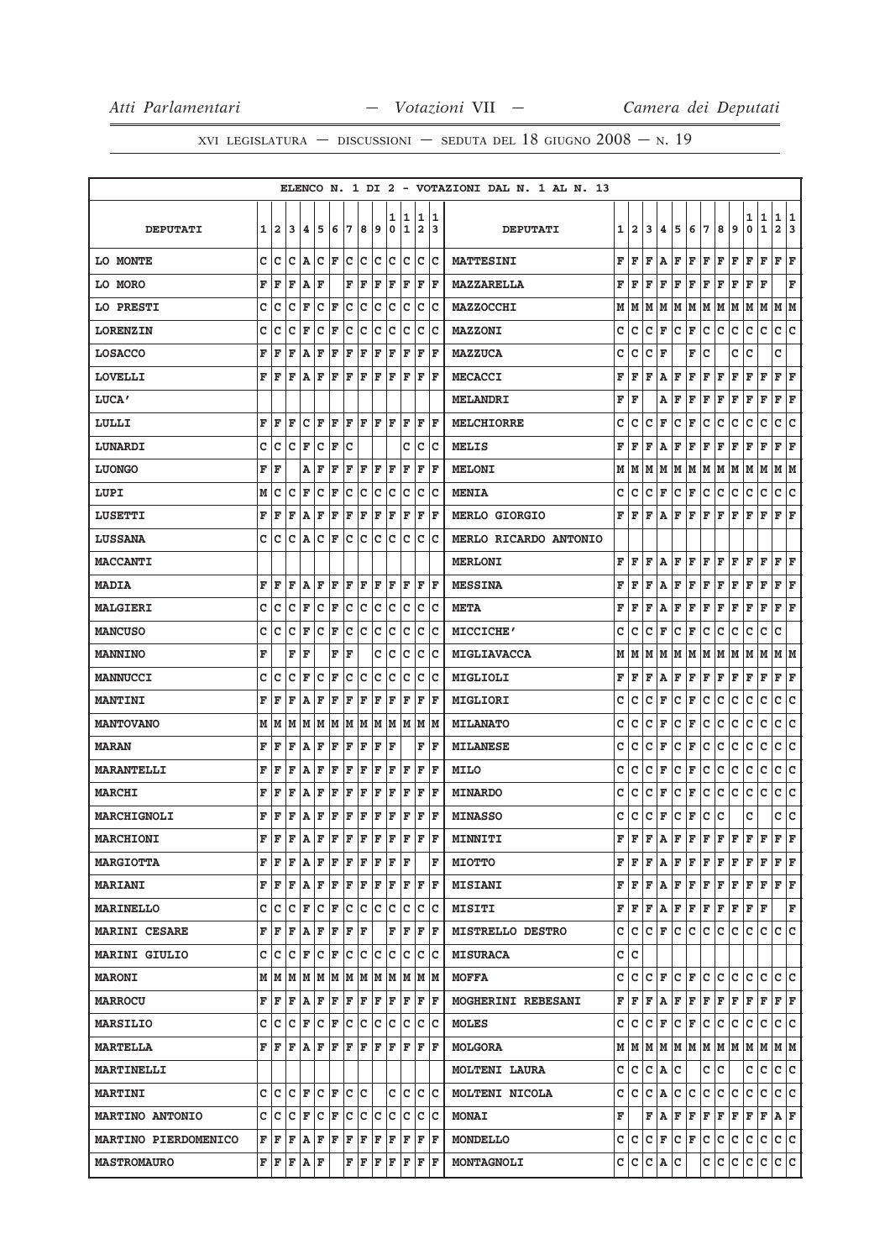|                             |   |                         |                                                                                                             |                       |         |     |     |    |                                                           |        |         |                              |          | ELENCO N. 1 DI 2 - VOTAZIONI DAL N. 1 AL N. 13 |   |                           |     |                 |           |                                                         |      |     |                                                           |        |                  |                   |        |
|-----------------------------|---|-------------------------|-------------------------------------------------------------------------------------------------------------|-----------------------|---------|-----|-----|----|-----------------------------------------------------------|--------|---------|------------------------------|----------|------------------------------------------------|---|---------------------------|-----|-----------------|-----------|---------------------------------------------------------|------|-----|-----------------------------------------------------------|--------|------------------|-------------------|--------|
| <b>DEPUTATI</b>             | 1 | $\overline{\mathbf{2}}$ | 3                                                                                                           | 4                     | 5       | 6   | 7   | 8  | 9                                                         | 1<br>0 | 11<br>1 | 1<br>$\overline{\mathbf{2}}$ | 11<br>13 | <b>DEPUTATI</b>                                | 1 | $\mathbf{2}$              | 3   | 4               | 5         | 6                                                       | 7    | 8   | 9                                                         | 1<br>0 | 1<br>$\mathbf 1$ | 1<br>$\mathbf{2}$ | 1<br>3 |
| LO MONTE                    | c | Iс                      | c                                                                                                           | A C                   |         | F   | lc. | c  | Iс                                                        | c      | Iс      | c                            | Iс       | <b>MATTESINI</b>                               | F | F                         | F   | А               | F         | F                                                       | F    | F   | F                                                         | F      | F                | F F               |        |
| LO MORO                     | F | F                       | F                                                                                                           | ΙA                    | ΙF      |     | F   | F  | F                                                         | F      | F       | F                            | lF.      | MAZZARELLA                                     | F | F                         | F   | F               | F         | F                                                       | F    | F   | F                                                         | F      | F                |                   | F      |
| LO PRESTI                   | c | Iс                      | c                                                                                                           | F                     | c       | F   | c   | c  | Ιc                                                        | с      | c       | c                            | Ιc       | <b>MAZZOCCHI</b>                               | М | M                         | М   | М               | M         | M                                                       | lм   | M   | M                                                         | М      | M                | M                 | M      |
| <b>LORENZIN</b>             | c | с                       | c                                                                                                           | l F                   | с       | F   | c   | c  | с                                                         | c      | Iс      | c                            | Iс       | MAZZONI                                        | с | с                         | с   | F               | с         | F                                                       | C    | c   | c                                                         | с      | c                | c                 | lc.    |
| <b>LOSACCO</b>              | F | ΙF                      | F                                                                                                           | A                     | F       | F   | F   | F  | F                                                         | F      | ΙF      | F                            | ΙF       | <b>MAZZUCA</b>                                 | с | с                         | с   | F               |           | F                                                       | с    |     | с                                                         | с      |                  | с                 |        |
| <b>LOVELLI</b>              | F | ΙF                      | ΙF                                                                                                          | ١A.                   | F       | F   | F   | F  | F                                                         | F      | F       | F                            | F        | <b>MECACCI</b>                                 | F | F                         | F   | Α               | F         | F                                                       | F    | F   | F                                                         | F      | F                | F                 | F      |
| LUCA'                       |   |                         |                                                                                                             |                       |         |     |     |    |                                                           |        |         |                              |          | <b>MELANDRI</b>                                | F | F                         |     | Α               | F         | F                                                       | F    | F   | F                                                         | F      | F                | F                 | F      |
| LULLI                       | F | F                       | F                                                                                                           | lc                    | ΙF      | F   | ΙF  | F  | ΙF                                                        | ΙF     | F       | F                            | ΙF       | <b>MELCHIORRE</b>                              | c | c                         | c   | F               | c         | F                                                       | c    | c   | c                                                         | c      | c                | c                 | c      |
| LUNARDI                     | с | с                       | c                                                                                                           | F                     | Iс      | F   | c   |    |                                                           |        | с       | с                            | Iс       | MELIS                                          | F | F                         | F   | Α               | F         | F                                                       | F    | F   | F                                                         | F      | F                | F                 | F      |
| <b>LUONGO</b>               | F | F                       |                                                                                                             | Α                     | ΙF      | F   | F   | F  | F                                                         | F      | F       | F                            | l F      | <b>MELONI</b>                                  | М | м                         | м   | М               | M         | M                                                       | M    | M   | M                                                         | M      | M                | M                 | lм     |
| LUPI                        | М | c                       | c                                                                                                           | l F                   | Iс      | F   | с   | c  | с                                                         | c      | Iс      | с                            | Iс       | <b>MENIA</b>                                   | с | с                         | с   | F               | с         | F                                                       | C    | с   | с                                                         | с      | c                | c                 | lc.    |
| LUSETTI                     | F | ΙF                      | F                                                                                                           | A                     | F       | F   | F   | F  | F                                                         | F      | ΙF      | F                            | l F      | <b>MERLO GIORGIO</b>                           | F | F                         | F   | Α               | F         | F                                                       | F    | F   | F                                                         | F      | F                | F                 | F      |
| <b>LUSSANA</b>              | c | с                       | c                                                                                                           | lA.                   | Ιc      | F   | c   | c  | Iс                                                        | c      | c       | с                            | Iс       | MERLO RICARDO ANTONIO                          |   |                           |     |                 |           |                                                         |      |     |                                                           |        |                  |                   |        |
| <b>MACCANTI</b>             |   |                         |                                                                                                             |                       |         |     |     |    |                                                           |        |         |                              |          | <b>MERLONI</b>                                 | F | F                         | F   | Α               | F         | F                                                       | F    | F   | F                                                         | F      | F                | F                 | F      |
| <b>MADIA</b>                | F | ΙF                      | F                                                                                                           | ١A                    | ΙF      | F   | ΙF  | F  | F                                                         | F      | ΙF      | F                            | ΙF       | <b>MESSINA</b>                                 | F | F                         | F   | А               | F         | F                                                       | F    | F   | F                                                         | F      | F                | F                 | F      |
| <b>MALGIERI</b>             | c | с                       | c                                                                                                           | l F                   | Iс      | F   | c   | Ιc | Iс                                                        | Iс     | Iс      | c                            | Ιc       | <b>META</b>                                    | F | F                         | F   | Α               | F         | F                                                       | F    | F   | F                                                         | F      | F                | F                 | F      |
| <b>MANCUSO</b>              | c | Ιc                      | c                                                                                                           | F                     | c       | F   | с   | c  | c                                                         | с      | c       | с                            | Iс       | <b>MICCICHE'</b>                               | с | c                         | c   | F               | с         | F                                                       | с    | c   | c                                                         | с      | с                | c                 |        |
| <b>MANNINO</b>              | F |                         | F                                                                                                           | ΙF                    |         | F   | ΙF  |    | c                                                         | Iс     | Iс      | с                            | Iс       | <b>MIGLIAVACCA</b>                             | м | M                         | M   | м               | M         | M                                                       | M    | M   | M                                                         | M      | M                | M  M              |        |
| MANNUCCI                    | c | c                       | c                                                                                                           | F                     | c       | F   | с   | c  | C                                                         | с      | c       | с                            | Iс       | MIGLIOLI                                       | F | F                         | F   | Α               | F         | F                                                       | F    | F   | F                                                         | F      | F                | F                 | F      |
| <b>MANTINI</b>              | F | ΙF                      | F                                                                                                           | A                     | ΙF      | F   | F   | F  | F                                                         | F      | F       | F                            | ΙF       | MIGLIORI                                       | с | с                         | с   | F               | с         | F                                                       | с    | с   | с                                                         | с      | с                | c                 | c      |
| <b>MANTOVANO</b>            | М | lм                      | M                                                                                                           | lМ                    | M       | M   | M   | M  | M                                                         | lм     | M       | M                            | lм       | <b>MILANATO</b>                                | c | с                         | c   | F               | с         | F                                                       | с    | с   | с                                                         | c      | с                | c                 | c      |
| <b>MARAN</b>                | F | F                       | F                                                                                                           | A                     | F       | F   | F   | F  | F                                                         | F      |         | F                            | ΙF       | <b>MILANESE</b>                                | с | с                         | с   | F               | c         | F                                                       | c    | с   | с                                                         | с      | c                | c                 | lc.    |
| <b>MARANTELLI</b>           | F | l F                     | F                                                                                                           | ١A                    | F       | F   | F   | F  | F                                                         | F      | F       | F                            | ΙF       | <b>MILO</b>                                    | с | с                         | c   | F               | с         | F                                                       | C    | с   | c                                                         | с      | $\mathbf C$      | с                 | c      |
| MARCHI                      | F | ΙF                      | F                                                                                                           | A                     | F       | F   | F   | F  | F                                                         | F      | F       | F                            | l F      | <b>MINARDO</b>                                 | с | с                         | с   | F               | c         | F                                                       | с    | с   | c                                                         | с      | $\mathbf C$      | c                 | c      |
| MARCHIGNOLI                 | F | F                       | F                                                                                                           | ١A                    | F       | F   | F   | F  | F                                                         | F      | F       | F                            | F        | <b>MINASSO</b>                                 | с | с                         | с   | F               | с         | F                                                       | с    | с   |                                                           | с      |                  | c                 | c      |
| <b>MARCHIONI</b>            | F | İF                      | F                                                                                                           | ١A                    | F       | F   | ΙF  | F  | F                                                         | ΙF     | F       | F                            | F        | MINNITI                                        | F | F                         | F   | Α               | F         | F                                                       | F    | F   | F                                                         | F      | F                | F                 | ΙF     |
| <b>MARGIOTTA</b>            |   | FF                      | lF.                                                                                                         | A F                   |         | F   | ΙF  | F  | F                                                         | F      | F       |                              | F        | <b>MIOTTO</b>                                  |   | FF                        | F   |                 |           | $A$ $F$ $F$ $F$                                         |      | F F |                                                           | F      | F                | F F               |        |
| <b>MARIANI</b>              |   | F F                     | ΙF                                                                                                          | $ {\bf A} $ ${\bf F}$ |         | F F |     |    | F F                                                       | lF.    | ΙF      | F                            | ΙF       | <b>MISIANI</b>                                 |   | $\mathbf{F}   \mathbf{F}$ | F   |                 |           | $ {\bf A} $ ${\bf F}$ $ {\bf F} $ ${\bf F}$ $ {\bf F} $ |      |     |                                                           | F F    |                  | F F               |        |
| <b>MARINELLO</b>            |   | c  c                    | lc.                                                                                                         | F                     | Ιc      | F   | Iс  | Iс | Iс                                                        | c      | Iс      | с                            | ΙC       | <b>MISITI</b>                                  | F | F                         | F   |                 |           | $A$ $F$ $F$ $F$                                         |      | F F |                                                           | F      | ΙF               |                   | F      |
| <b>MARINI CESARE</b>        |   | FF                      |                                                                                                             | F A F                 |         | İΕ  | F   | ١F |                                                           | F      | ΙF      | F                            | ΙF       | <b>MISTRELLO DESTRO</b>                        | c | c                         |     |                 | $ c _F c$ | c.                                                      | lc.  | c.  | lc.                                                       | c      | с                | c c               |        |
| <b>MARINI GIULIO</b>        |   | c Ic                    | lc.                                                                                                         | lF.                   | $ C $ F |     | lc. |    | c c                                                       | lc.    | Ιc      | c                            | Ιc       | <b>MISURACA</b>                                |   | c  c                      |     |                 |           |                                                         |      |     |                                                           |        |                  |                   |        |
| <b>MARONI</b>               |   |                         |                                                                                                             |                       |         |     |     |    | $M$   $M$   $M$   $M$   $M$   $M$   $M$   $M$   $M$   $M$ |        |         |                              | M M      | <b>MOFFA</b>                                   | c | IC.                       |     |                 |           | C F C F C                                               |      | с   | Iс                                                        | с      | с                | c c               |        |
| <b>MARROCU</b>              |   | F F                     | F                                                                                                           | AF                    |         | F   | F   | F  | F                                                         | F      | F       | F                            | ΙF       | MOGHERINI REBESANI                             | F | F                         | F   | Α               | F         | F                                                       | F    | F   | F                                                         | F      | F                | F F               |        |
| <b>MARSILIO</b>             |   | c  c                    | $ C $ $\mathbf{F}$ $ C $                                                                                    |                       |         | F C |     | c  | c                                                         | Iс     | Iс      | c                            | Iс       | <b>MOLES</b>                                   | c | lc.                       |     | $ {\tt C}\, $ F |           | $ C $ $\mathbf{F}$                                      | c.   | c.  | c                                                         | c      | c                | c c               |        |
| <b>MARTELLA</b>             |   |                         | ${\bf F}\, \,{\bf F}\, \,{\bf F}\, \,{\bf A}\, \,{\bf F}\, \,{\bf F}\, \,{\bf F}\, \,{\bf F}\, \,{\bf F}\,$ |                       |         |     |     |    |                                                           |        | F F     |                              | F  F     | <b>MOLGORA</b>                                 |   |                           |     |                 |           |                                                         |      |     | $M$   $M$   $M$   $M$   $M$   $M$   $M$   $M$   $M$   $M$ |        |                  | M M               |        |
| <b>MARTINELLI</b>           |   |                         |                                                                                                             |                       |         |     |     |    |                                                           |        |         |                              |          | <b>MOLTENI LAURA</b>                           | c | lc.                       | lc. | A               | Iс        |                                                         | c  c |     |                                                           | c      | c                | C C               |        |
| <b>MARTINI</b>              |   |                         | C C C F C F C C                                                                                             |                       |         |     |     |    |                                                           |        |         | C C C C                      |          | MOLTENI NICOLA                                 |   | c  c                      | c.  | A               | c         | c                                                       | c    | c.  | c                                                         | c      | c                | c c               |        |
| <b>MARTINO ANTONIO</b>      |   | c Ic                    |                                                                                                             | IC IF                 | $ C $ F |     | lc. |    | c c                                                       | lc.    | Iс      | c                            | Ιc       | <b>MONAI</b>                                   | F |                           |     | F A             | F         | F                                                       | F    | F   | F                                                         | F      | F                | AF                |        |
| <b>MARTINO PIERDOMENICO</b> |   |                         | F F F A F F F                                                                                               |                       |         |     |     |    | F F                                                       |        | F F     |                              | F F      | <b>MONDELLO</b>                                |   |                           |     | C C C F         |           | $ C $ $\mathbf{F}$                                      | c    | c.  | c                                                         | с      | c.               | c c               |        |
| <b>MASTROMAURO</b>          |   |                         | ${\tt F}\, {\tt F}\, {\tt F}\, {\tt A}\, {\tt F}\, $                                                        |                       |         |     | F   | F  | F                                                         | F      | F       | F                            | F        | MONTAGNOLI                                     |   |                           |     | C C C A C       |           |                                                         | с    | c   | c                                                         | c      | c                | c c               |        |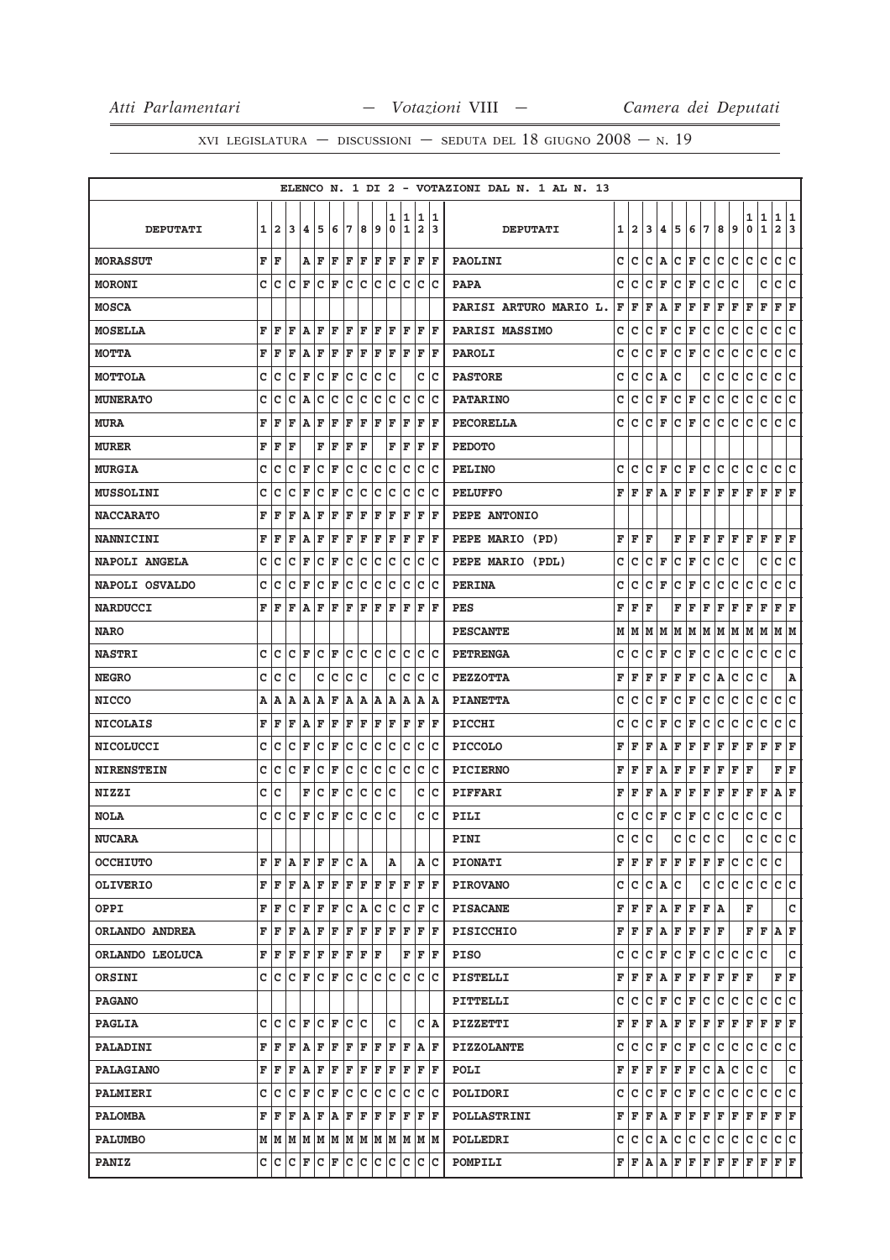|                   |   |                                                           |         |                       |     |     |     |     |     |        |         |                              |         | ELENCO N. 1 DI 2 - VOTAZIONI DAL N. 1 AL N. 13 |   |              |   |     |     |                                               |     |              |     |        |                  |                             |   |
|-------------------|---|-----------------------------------------------------------|---------|-----------------------|-----|-----|-----|-----|-----|--------|---------|------------------------------|---------|------------------------------------------------|---|--------------|---|-----|-----|-----------------------------------------------|-----|--------------|-----|--------|------------------|-----------------------------|---|
| <b>DEPUTATI</b>   | 1 | $\overline{\mathbf{2}}$                                   | 3       | 4                     | 5   | 6   | 7   | 8   | 9   | 1<br>0 | 11<br>1 | 1<br>$\overline{\mathbf{2}}$ | 11<br>3 | <b>DEPUTATI</b>                                | 1 | $\mathbf{2}$ | 3 | 4   | 5   | 6                                             | 7   | 8            | 9   | 1<br>0 | 1<br>$\mathbf 1$ | 1<br>1<br>$\mathbf{2}$<br>3 |   |
| <b>MORASSUT</b>   |   | F  F                                                      |         | AF                    |     | F   | F   | F   | F   | F      | F       | F                            | F       | <b>PAOLINI</b>                                 | c | c            | c | A   | lc. | F                                             | lc. | с            | c   | c      | c                | c<br>lc.                    |   |
| <b>MORONI</b>     | c | ١c                                                        | c       | ΙF                    | Ιc  | F   | lc. | Ιc  | Iс  | Iс     | Iс      | c                            | Ιc      | <b>PAPA</b>                                    | с | с            | c | F   | c   | F                                             | c   | с            | C   |        | с                | c<br> c                     |   |
| <b>MOSCA</b>      |   |                                                           |         |                       |     |     |     |     |     |        |         |                              |         | PARISI ARTURO MARIO L.                         | F | F            | F | Α   | F   | F                                             | F   | F            | F   | F      | F                | F<br>F                      |   |
| <b>MOSELLA</b>    | F | l F                                                       | l F     | AF                    |     | F   | ΙF  | FF  |     | lF.    | lF.     | F                            | ١F      | <b>PARISI MASSIMO</b>                          | c | с            | c | F   | c   | F                                             | c   | с            | c   | с      | $\mathbf C$      | c<br>lc.                    |   |
| <b>MOTTA</b>      | F | ΙF                                                        | F       | ١A                    | F   | F   | F   | F   | F   | F      | ΙF      | F                            | F       | PAROLI                                         | с | c            | с | F   | с   | F                                             | с   | с            | с   | с      | с                | c<br>с                      |   |
| <b>MOTTOLA</b>    | C | c                                                         | c       | l F                   | c   | F   | c   | c   | c   | c      |         | c                            | Iс      | <b>PASTORE</b>                                 | с | с            | c | Α   | с   |                                               | с   | с            | с   | с      | $\mathbf C$      | с<br> c                     |   |
| <b>MUNERATO</b>   | c | c                                                         | C       | A                     | C   | c   | c   | C   | c   | c      | c       | c                            | Ιc      | <b>PATARINO</b>                                | c | c            | c | F   | с   | F                                             | с   | с            | с   | с      | с                | с<br>c                      |   |
| <b>MURA</b>       | F | ΙF                                                        | F       | A                     | F   | F   | F   | F   | F   | ΙF     | F       | F                            | ΙF      | <b>PECORELLA</b>                               | c | c            | c | F   | c   | F                                             | C   | C            | c   | c      | C                | c<br>$\mathbf{C}$           |   |
| <b>MURER</b>      | F | F                                                         | ΙF      |                       | F   | lF. | F   | ΙF  |     | F      | F       | F                            | F       | <b>PEDOTO</b>                                  |   |              |   |     |     |                                               |     |              |     |        |                  |                             |   |
| <b>MURGIA</b>     | C | Ιc                                                        | c       | F                     | c   | F   | c   | c   | c   | c      | c       | c                            | Ιc      | <b>PELINO</b>                                  | с | c            | c | F   | c   | F                                             | c   | c            | с   | с      | с                | c<br>c                      |   |
| <b>MUSSOLINI</b>  | C | c                                                         | c       | ΙF                    | c   | F   | с   | c   | с   | c      | Iс      | с                            | Iс      | <b>PELUFFO</b>                                 | F | l F          | F | А   | F   | F                                             | F   | F            | F   | F      | F                | F F                         |   |
| <b>NACCARATO</b>  | F | ΙF                                                        | F       | A                     | F   | F   | F   | F   | F   | F      | ΙF      | F                            | l F     | PEPE ANTONIO                                   |   |              |   |     |     |                                               |     |              |     |        |                  |                             |   |
| <b>NANNICINI</b>  | F | F                                                         | F       | A                     | F   | F   | F   | F   | F   | F      | F       | F                            | F       | PEPE MARIO (PD)                                | F | F            | F |     | F   | F                                             | l F | F            | l F | F      | F                | F<br>F                      |   |
| NAPOLI ANGELA     | C | Ιc                                                        | c       | İF                    | c   | F   | c   | c   | c   | c      | c       | c                            | Iс      | PEPE MARIO (PDL)                               | c | c            | c | F   | c   | F                                             | c   | c            | c   |        | с                | с<br>c                      |   |
| NAPOLI OSVALDO    | C | c                                                         | c       | F                     | c   | F   | с   | c   | c   | c      | c       | c                            | Ιc      | <b>PERINA</b>                                  | с | c            | c | F   | c   | F                                             | c   | c            | c   | с      | C                | c<br>c                      |   |
| <b>NARDUCCI</b>   | F | ΙF                                                        | F       | lA.                   | ΙF  | F   | lF. | F   | F   | F      | F       | F                            | F       | PES                                            | F | F            | F |     | F   | F                                             | F   | F            | F   | F      | F                | F<br>F                      |   |
| <b>NARO</b>       |   |                                                           |         |                       |     |     |     |     |     |        |         |                              |         | <b>PESCANTE</b>                                | М | м            | м | М   | lм  | M                                             | M   | M            | M   | М      | M                | M  M                        |   |
| <b>NASTRI</b>     | c | lc                                                        | IC IF   |                       | C F |     | lc. |     | c c | lc.    | Iс      | c                            | Iс      | <b>PETRENGA</b>                                | с | с            | c | F   | c   | F                                             | с   | с            | с   | c      | c                | c<br> c                     |   |
| <b>NEGRO</b>      | c | c                                                         | c       |                       | с   | c   | с   | c   |     | с      | c       | с                            | Iс      | <b>PEZZOTTA</b>                                | F | F            | F | F   | F   | F                                             | с   | Α            | с   | с      | c                |                             | Α |
| <b>NICCO</b>      | Α | ١A                                                        | ۱A      | ΙA                    | ۱A  | F   | A   | A   | ١A  | Α      | A       | Α                            | ١A      | <b>PIANETTA</b>                                | с | с            | с | F   | с   | F                                             | с   | с            | с   | с      | с                | c<br>c                      |   |
| <b>NICOLAIS</b>   | F | ΙF                                                        | ΙF      | A                     | ΙF  | F   | F   | F   | F   | F      | F       | F                            | F       | PICCHI                                         | c | с            | c | F   | с   | F                                             | с   | с            | с   | c      | с                | c<br>c                      |   |
| <b>NICOLUCCI</b>  | C | ١c                                                        | c       | F                     | c   | F   | с   | с   | c   | c      | Ιc      | с                            | Ιc      | <b>PICCOLO</b>                                 | F | F            | F | Α   | F   | F                                             | F   | F            | F   | F      | F                | F<br>F                      |   |
| <b>NIRENSTEIN</b> | c | с                                                         | c       | F                     | c   | F   | c   | c   | c   | Iс     | Iс      | c                            | Ιc      | <b>PICIERNO</b>                                | F | F            | F | Α   | F   | F                                             | F   | F            | F   | F      |                  | F<br>F                      |   |
| <b>NIZZI</b>      | C | c                                                         |         | F                     | c   | F   | c   | c   | c   | c      |         | c                            | Iс      | PIFFARI                                        | F | F            | F | Α   | F   | F                                             | F   | $\mathbf{F}$ | F   | F      | F                | ΙF<br>Α                     |   |
| <b>NOLA</b>       | c | ١c                                                        | c       | l F                   | lc  | ΙF  | c   | c   | c   | lc     |         | c                            | Iс      | PILI                                           | с | с            | с | F   | с   | F                                             | с   | с            | с   | с      | с                | с                           |   |
| <b>NUCARA</b>     |   |                                                           |         |                       |     |     |     |     |     |        |         |                              |         | PINI                                           | c | c            | c |     | c   | c                                             | c   | c            |     | c      | c                | c                           | c |
| <b>OCCHIUTO</b>   | F | ١F                                                        | ΙA      | F                     | F   | F   | c   | ۱A  |     | Α      |         |                              | A C     | <b>PIONATI</b>                                 |   | FF           | F |     |     | $\mathbf{F} \mathbf{F} \mathbf{F} \mathbf{F}$ |     | F            | с   | с      | с                | c                           |   |
| <b>OLIVERIO</b>   |   | F F                                                       | ΙF      | $ {\bf A} $ ${\bf F}$ |     | F   | F   | F   | F   | F      | F       | F                            | ΙF      | <b>PIROVANO</b>                                | c | c            | c | A C |     |                                               | c   | c            | c   | c      | c                | c c                         |   |
| OPPI              |   | F F                                                       | с       | F                     | F   | F   | c   | ۱A  | с   | c      | Iс      | F                            | ΙC      | <b>PISACANE</b>                                | F | F            | F | Α   | F   | F                                             | F A |              |     | F      |                  | lc.                         |   |
| ORLANDO ANDREA    | F | F                                                         | F       | A                     | F   | F   | F   | F   | F   | F      | F       | F                            | ١F      | PISICCHIO                                      | F | F            | F | Α   | F   | F                                             | F F |              |     | F      | F                | $\mathbf{A} \mathbf{F}$     |   |
| ORLANDO LEOLUCA   |   | F F                                                       | F       | $F$ $F$ $F$ $F$       |     |     |     | F F |     |        | F       | F                            | lF.     | <b>PISO</b>                                    | c | c            | c | F   | c   | F                                             | c   | c            | c   | c      | c                | lc.                         |   |
| ORSINI            |   | C C C F C F C                                             |         |                       |     |     |     | IC. | Iс  | lc.    | Iс      | c                            | ΙC      | PISTELLI                                       | F | F            | F | Α   | F   | F                                             | F   | F            | F   | F      |                  | FF                          |   |
| <b>PAGANO</b>     |   |                                                           |         |                       |     |     |     |     |     |        |         |                              |         | PITTELLI                                       | с | с            | с | F   | с   | F                                             | c   | с            | с   | с      | c                | c<br> c                     |   |
| <b>PAGLIA</b>     |   | c  c                                                      |         | C F C F               |     |     | Iс  | lc  |     | c      |         | c                            | A       | PIZZETTI                                       | F | F            | F | A   |     | $F$ $F$ $F$                                   |     | F F          |     | F      | F                | F F                         |   |
| <b>PALADINI</b>   |   | FF                                                        | F       | AF                    |     | F   | F   | FF  |     | F      | lF.     |                              | A F     | <b>PIZZOLANTE</b>                              | c | с            | c | F   | c   | F                                             | c   | c            | с   | с      | с                | C C                         |   |
| <b>PALAGIANO</b>  |   | F F                                                       | F       | ΙA                    | F   | F   | F   | F   | F   | F      | F       | F                            | ΙF      | POLI                                           | F | F            | F | F   | F   | F                                             | c   | A            | с   | c      | c                | c                           |   |
| PALMIERI          |   | c c                                                       | $ C $ F |                       | C F |     | c   | c   | Iс  | Iс     | Iс      | c                            | Ιc      | POLIDORI                                       | с | c            | c | F   | c   | F                                             | lc. | c            | c   | с      | c                | c c                         |   |
| <b>PALOMBA</b>    |   | F F                                                       | F       | $A$ $F$ $A$           |     |     | F   | F   | F   | F      | F       | F                            | lF.     | <b>POLLASTRINI</b>                             | F | lF.          | F | ۱A. | F   | F                                             | F   | F            | F   | F      | F                | F F                         |   |
| <b>PALUMBO</b>    |   | $M$   $M$   $M$   $M$   $M$   $M$   $M$   $M$   $M$   $M$ |         |                       |     |     |     |     |     |        |         |                              | M M     | POLLEDRI                                       | с | c            | С | A   | с   | с                                             | c   | C            | c   | с      | c                | c c                         |   |
| <b>PANIZ</b>      |   | c c                                                       |         | C F C F               |     |     | c   | c   | c   | Iс     | Ιc      | c                            | lc      | POMPILI                                        |   | F F A        |   | Α   |     | $F$ $F$ $F$                                   |     | F F          |     | F      | F                | F F                         |   |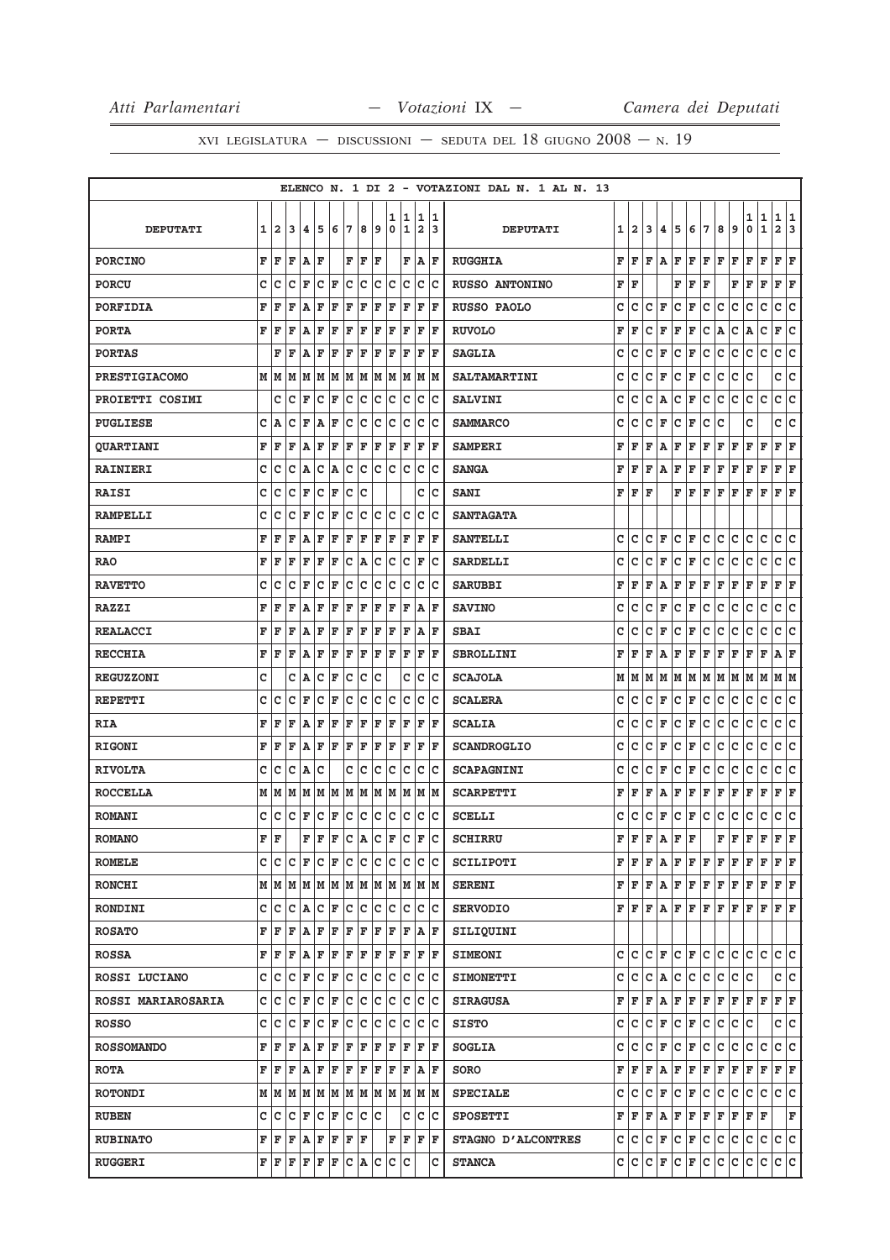|                           |   |                         |     |                                                   |                      |         |     |     |                      |              |     |                         |      | ELENCO N. 1 DI 2 - VOTAZIONI DAL N. 1 AL N. 13 |   |                |   |                    |           |                                                                                                                                                                      |     |     |     |     |              |                         |     |
|---------------------------|---|-------------------------|-----|---------------------------------------------------|----------------------|---------|-----|-----|----------------------|--------------|-----|-------------------------|------|------------------------------------------------|---|----------------|---|--------------------|-----------|----------------------------------------------------------------------------------------------------------------------------------------------------------------------|-----|-----|-----|-----|--------------|-------------------------|-----|
|                           |   |                         |     |                                                   |                      |         |     |     |                      | 1            | 1   | 1                       | 1    |                                                |   |                |   |                    |           |                                                                                                                                                                      |     |     |     | 1   | 1            | 1                       | 1   |
| <b>DEPUTATI</b>           | 1 | $\overline{\mathbf{2}}$ | 3   | 14                                                | 15                   | 6       | 17  | 8   | 9                    | 0            | 1   | $\overline{\mathbf{2}}$ | 3    | <b>DEPUTATI</b>                                | 1 | $\overline{a}$ | 3 | 4                  | 5         | 6                                                                                                                                                                    | 7   | 8   | 9   | 0   | $\mathbf{1}$ | $\overline{\mathbf{2}}$ | 3   |
| <b>PORCINO</b>            | F | ΙF                      | ΙF  | ١A                                                | ΙF                   |         | F   | F   | ΙF                   |              | F   | lA.                     | lF.  | <b>RUGGHIA</b>                                 | F | F              | F | Α                  | F         | F                                                                                                                                                                    | F   | F   | F   | F   | F            | F                       | ΙF  |
| <b>PORCU</b>              | c | Ιc                      | c   | ΙF                                                | c                    | F       | c   | c   | Iс                   | c            | Ιc  | c                       | lc   | <b>RUSSO ANTONINO</b>                          | F | ΙF             |   |                    | F         | F                                                                                                                                                                    | F   |     | F   | F   | F            | F                       | F   |
| PORFIDIA                  | F | F                       | F   | A                                                 | F                    | F       | F   | F   | F                    | F            | F   | F                       | F    | RUSSO PAOLO                                    | c | c              | c | F                  | c         | F                                                                                                                                                                    | c   | c   | с   | с   | с            | c                       | c   |
| <b>PORTA</b>              | F | F                       | F   | A                                                 | F                    | F       | F   | F   | F                    | F            | F   | F                       | lF.  | <b>RUVOLO</b>                                  | F | F              | c | F                  | F         | F                                                                                                                                                                    | C   | A   | с   | Α   | $\mathbf C$  | F                       | ∣c  |
| <b>PORTAS</b>             |   | F                       | F   | lA.                                               | ΙF                   | F       | ΙF  | F   | F                    | ΙF           | F   | F                       | ΙF   | <b>SAGLIA</b>                                  | c | c              | c | F                  | с         | F                                                                                                                                                                    | с   | с   | с   | c   | с            | с                       | C   |
| <b>PRESTIGIACOMO</b>      |   | MM                      | M   | MM                                                |                      |         | MM  |     | MM                   | M            | M   |                         | M M  | <b>SALTAMARTINI</b>                            | c | c              | C | F                  | c         | F                                                                                                                                                                    | C   | C   | c   | c   |              | c                       | c   |
| PROIETTI COSIMI           |   | c                       | Iс  | F                                                 | lc                   | F       | lc. | c   | Iс                   | c            | Iс  | с                       | Iс   | <b>SALVINI</b>                                 | c | с              | c | Α                  | с         | F                                                                                                                                                                    | C   | с   | c   | c   | c            | c                       | c   |
| <b>PUGLIESE</b>           | c | ١A                      | c   | F                                                 | ١A                   | F       | с   | c   | Ιc                   | с            | Ιc  | c                       | Ιc   | <b>SAMMARCO</b>                                | c | c              | c | F                  | c         | F                                                                                                                                                                    | c   | c   |     | c   |              | c                       | c   |
| <b>QUARTIANI</b>          | F | F                       | F   | ١A                                                | F                    | F       | F   | F   | F                    | $\mathbf{F}$ | F   | F                       | lF.  | <b>SAMPERI</b>                                 | F | F              | F | Α                  | F         | F                                                                                                                                                                    | F   | F   | F   | F   | F            | F                       | F   |
| <b>RAINIERI</b>           | c | c                       | с   | A                                                 | c                    | A       | с   | c   | c                    | c            | c   | c                       | Ιc   | <b>SANGA</b>                                   | F | F              | F | Α                  | F         | F                                                                                                                                                                    | F   | F   | F   | F   | F            | F                       | F   |
| <b>RAISI</b>              | c | c                       | c   | ΙF                                                | c                    | F       | c   | c   |                      |              |     | c                       | Ιc   | <b>SANI</b>                                    | F | F              | F |                    | F         | F                                                                                                                                                                    | F   | F   | F   | F   | F            | F F                     |     |
| <b>RAMPELLI</b>           | C | c                       | c   | F                                                 | C                    | F       | C   | c   | c                    | c            | c   | c                       | Ιc   | <b>SANTAGATA</b>                               |   |                |   |                    |           |                                                                                                                                                                      |     |     |     |     |              |                         |     |
| <b>RAMPI</b>              | F | ΙF                      | F   | A                                                 | ΙF                   | F       | ΙF  | l F | F                    | ΙF           | F   | F                       | ΙF   | <b>SANTELLI</b>                                | c | c              | C | F                  | c         | F                                                                                                                                                                    | C   | c   | C   | c   | c            | c                       | c   |
| <b>RAO</b>                | F | ΙF                      | F   | F                                                 | ΙF                   | F       | с   | A   | с                    | c            | Iс  | F                       | Ιc   | <b>SARDELLI</b>                                | c | c              | c | F                  | c         | F                                                                                                                                                                    | c   | с   | c   | c   | c            | c                       | lc. |
| <b>RAVETTO</b>            | C | c                       | c   | F                                                 | c                    | F       | c   | c   | c                    | c            | c   | c                       | Ιc   | <b>SARUBBI</b>                                 | F | F              | F | Α                  | F         | F                                                                                                                                                                    | F   | F   | F   | F   | F            | F                       | F   |
| <b>RAZZI</b>              | F | ΙF                      | F   | A                                                 | F                    | F       | F   | F   | F                    | F            | F   | Α                       | lF.  | <b>SAVINO</b>                                  | с | с              | c | F                  | c         | F                                                                                                                                                                    | c   | c   | c   | с   | $\mathbf C$  | c                       | lc. |
| <b>REALACCI</b>           | F | ΙF                      | F   | A                                                 | F                    | F       | F   | F   | F                    | F            | ΙF  | A                       | F    | <b>SBAI</b>                                    | с | с              | с | F                  | с         | F                                                                                                                                                                    | с   | с   | с   | с   | с            | с                       | c   |
| <b>RECCHIA</b>            | F | F                       | F   | A                                                 | F                    | F       | F   | F   | F                    | F            | F   | F                       | ΙF   | <b>SBROLLINI</b>                               | F | F              | F | Α                  | F         | F                                                                                                                                                                    | F   | F   | F   | F   | F            | A                       | F   |
| <b>REGUZZONI</b>          | c |                         | c   | A                                                 | lc                   | F       | c   | C   | c                    |              | c   | C                       | Ιc   | <b>SCAJOLA</b>                                 | М | м              | М | М                  | M         | M                                                                                                                                                                    | M   | M   | M   | М   | M            | М                       | M   |
| <b>REPETTI</b>            | C | c                       | c   | F                                                 | c                    | F       | c   | с   | c                    | c            | c   | c                       | Ιc   | <b>SCALERA</b>                                 | с | c              | c | F                  | c         | F                                                                                                                                                                    | c   | с   | с   | c   | с            | c                       | lc  |
| <b>RIA</b>                | F | ΙF                      | F   | A                                                 | F                    | F       | F   | F   | F                    | F            | ΙF  | F                       | F    | <b>SCALIA</b>                                  | c | c              | c | F                  | с         | F                                                                                                                                                                    | c   | с   | с   | с   | c            | c                       | lc. |
| <b>RIGONI</b>             | F | ΙF                      | F   | lA.                                               | F                    | F       | ΙF  | F   | F                    | F            | F   | F                       | ΙF   | <b>SCANDROGLIO</b>                             | c | c              | c | F                  | c         | F                                                                                                                                                                    | c   | C   | c   | c   | с            | с                       | c   |
| <b>RIVOLTA</b>            | c | Ιc                      | c   | ١A                                                | Ιc                   |         | c   | c   | Iс                   | c            | Iс  | c                       | Ιc   | <b>SCAPAGNINI</b>                              | с | с              | c | F                  | с         | F                                                                                                                                                                    | c   | с   | c   | с   | $\mathbf C$  | c                       | lc. |
| <b>ROCCELLA</b>           |   | мM                      | M   | M                                                 | M                    | M       | M   | M   | M                    | M            | M   | M                       | M    | <b>SCARPETTI</b>                               | F | F              | F | Α                  | F         | F                                                                                                                                                                    | F   | F   | F   | F   | F            | F                       | F   |
| <b>ROMANI</b>             | C | lc                      | c   | F                                                 | c                    | F       | c   | c   | c                    | c            | c   | C                       | Ιc   | <b>SCELLI</b>                                  | с | c              | с | F                  | с         | F                                                                                                                                                                    | с   | с   | с   | с   | с            | c                       | c   |
| <b>ROMANO</b>             | F | F                       |     | F                                                 | F                    | F       | lc. | A   | C                    | F            | C   | $\mathbf F$             | lc.  | <b>SCHIRRU</b>                                 | F | F              | F | Α                  | F         | l F                                                                                                                                                                  |     | F   | F   | F   | F            | F                       | l F |
| <b>ROMELE</b>             |   | c  c                    |     | IC IF                                             | $ {\bf C}  {\bf F} $ |         | Iс  | Iс  | Iс                   | Iс           | Iс  | с                       | ΙC   | <b>SCILIPOTI</b>                               |   | FF             | F | A                  | F         | F                                                                                                                                                                    | F   | F   | F   | F   | F            | F F                     |     |
| <b>RONCHI</b>             |   |                         |     |                                                   |                      |         |     |     |                      |              |     |                         |      | <b>SERENI</b>                                  |   |                |   |                    |           | $\mathbf{F} \,   \, \mathbf{F} \,   \, \mathbf{F} \,   \, \mathbf{F} \,   \, \mathbf{F} \,   \, \mathbf{F} \,   \, \mathbf{F} \,   \, \mathbf{F} \,   \, \mathbf{F}$ |     |     |     | F   | F            | F F                     |     |
| <b>RONDINI</b>            |   | c Ic                    |     | C A                                               | C  F                 |         | lc. | lc. | Iс                   | Iс           | Iс  | c                       | Ιc   | <b>SERVODIO</b>                                |   |                |   | F F F A            | F         | lF.                                                                                                                                                                  | lF. | lF. | lF. | F   | F            | F F                     |     |
| <b>ROSATO</b>             | F | F                       | F   | AF                                                |                      | $F$ $F$ |     | F   | F                    | F            | F   |                         | A F  | SILIQUINI                                      |   |                |   |                    |           |                                                                                                                                                                      |     |     |     |     |              |                         |     |
| <b>ROSSA</b>              |   | F F                     | F   | ΙA.                                               | F                    | F       | F   | F   | F                    | F            | F   | F                       | lF.  | <b>SIMEONI</b>                                 | c | lc.            | c | lF.                | lc.       | F                                                                                                                                                                    | lc. | с   | c   | с   | c            | c c                     |     |
| ROSSI LUCIANO             | c | ∣c                      | c   | F                                                 | c                    | F       | c   | c   | c                    | c            | c   | с                       | Iс   | <b>SIMONETTI</b>                               | c | c              |   | $ C $ $\mathbf{A}$ | c         | c                                                                                                                                                                    | lc. | c   | с   | с   |              | c c                     |     |
| <b>ROSSI MARIAROSARIA</b> |   | c  c                    | lc. | F                                                 | c                    | F       | c   | c   | Iс                   | c            | Iс  | c                       | Iс   | <b>SIRAGUSA</b>                                | F | F              | F | Α                  | F         | F F                                                                                                                                                                  |     | F F |     | F F |              | F F                     |     |
| <b>ROSSO</b>              | c | Iс                      | c   | F                                                 | c                    | F       | Iс  | c   | с                    | c            | Iс  | с                       | ΙC   | <b>SISTO</b>                                   | c | c              | c | F                  | c         | F                                                                                                                                                                    | lc. | c   | с   | c   |              | c c                     |     |
| <b>ROSSOMANDO</b>         | F | ΙF                      | l F | A                                                 | F                    | F       | F   | F   | F                    | F            | F   | F                       | ΙF   | <b>SOGLIA</b>                                  | c | c              | c | F                  | c         | F                                                                                                                                                                    | c   | c   | c   | c   | c            | c  c                    |     |
| <b>ROTA</b>               |   | F F                     | F   | ١A                                                | F                    | F       | F   | F   | F                    | F            | F   | Α                       | lF.  | <b>SORO</b>                                    | F | F              | F | A                  | F         | F                                                                                                                                                                    | F   | F   | F   | F   | F            | F F                     |     |
| <b>ROTONDI</b>            |   |                         |     |                                                   |                      |         |     |     |                      |              |     |                         | M  M | <b>SPECIALE</b>                                | c | с              | с | F                  | с         | F                                                                                                                                                                    | c   | c   | с   | с   | с            | c c                     |     |
| <b>RUBEN</b>              | c | Ιc                      | lc. | F                                                 | ∣c                   | F       | c   | c   | Ιc                   |              | с   | C                       | Iс   | <b>SPOSETTI</b>                                | F | F              | F | Α                  | F         | F                                                                                                                                                                    | F   | F   | F   | F   | F            |                         | F   |
| <b>RUBINATO</b>           | F | ΙF                      | F   | A F                                               |                      | F F     |     | F   |                      | F            | ΙF  |                         | FF   | STAGNO D'ALCONTRES                             | с |                |   |                    | C C F C F |                                                                                                                                                                      | c   | c   | c   | с   | с            | c c                     |     |
| <b>RUGGERI</b>            |   |                         |     | ${\tt F}$ $\tt F$ $\tt F$ $\tt F$ $\tt F$ $\tt F$ |                      |         |     |     | $ C $ $\mathbf{A} C$ |              | c c |                         | c    | <b>STANCA</b>                                  |   | c  c  c        |   | F                  |           | $C$ $F$ $C$                                                                                                                                                          |     | c.  | lc. | с   | с            | c c                     |     |